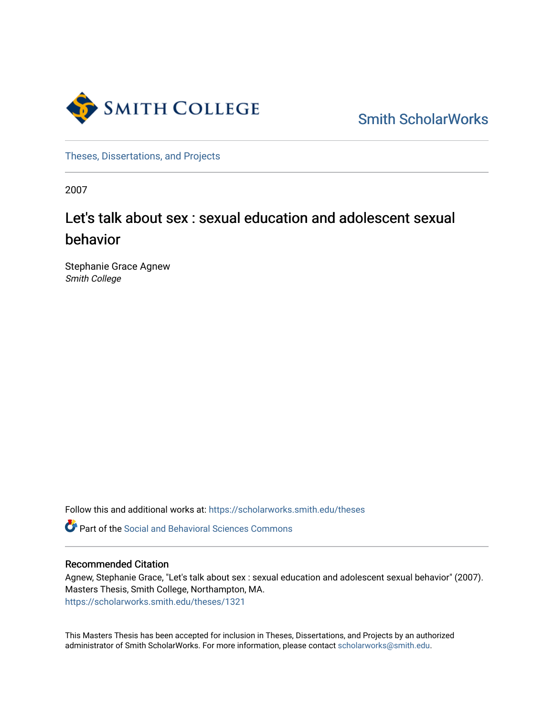

[Smith ScholarWorks](https://scholarworks.smith.edu/) 

[Theses, Dissertations, and Projects](https://scholarworks.smith.edu/theses) 

2007

# Let's talk about sex : sexual education and adolescent sexual behavior

Stephanie Grace Agnew Smith College

Follow this and additional works at: [https://scholarworks.smith.edu/theses](https://scholarworks.smith.edu/theses?utm_source=scholarworks.smith.edu%2Ftheses%2F1321&utm_medium=PDF&utm_campaign=PDFCoverPages) 

**C** Part of the Social and Behavioral Sciences Commons

#### Recommended Citation

Agnew, Stephanie Grace, "Let's talk about sex : sexual education and adolescent sexual behavior" (2007). Masters Thesis, Smith College, Northampton, MA. [https://scholarworks.smith.edu/theses/1321](https://scholarworks.smith.edu/theses/1321?utm_source=scholarworks.smith.edu%2Ftheses%2F1321&utm_medium=PDF&utm_campaign=PDFCoverPages)

This Masters Thesis has been accepted for inclusion in Theses, Dissertations, and Projects by an authorized administrator of Smith ScholarWorks. For more information, please contact [scholarworks@smith.edu](mailto:scholarworks@smith.edu).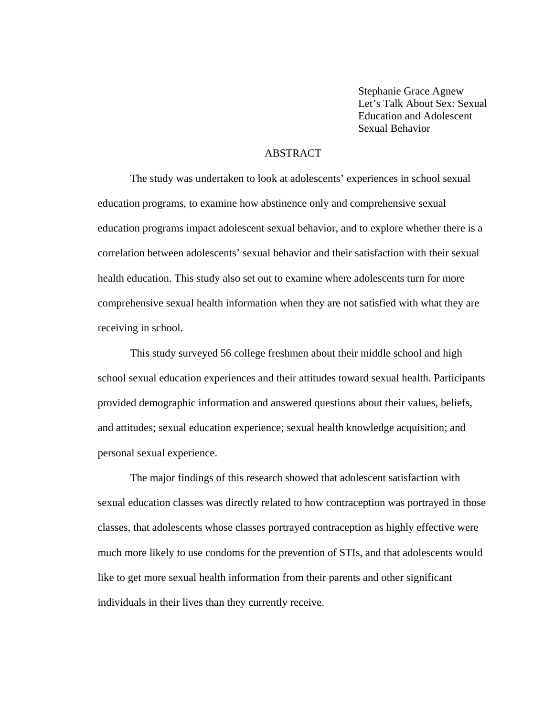Stephanie Grace Agnew Let's Talk About Sex: Sexual Education and Adolescent Sexual Behavior

#### ABSTRACT

 The study was undertaken to look at adolescents' experiences in school sexual education programs, to examine how abstinence only and comprehensive sexual education programs impact adolescent sexual behavior, and to explore whether there is a correlation between adolescents' sexual behavior and their satisfaction with their sexual health education. This study also set out to examine where adolescents turn for more comprehensive sexual health information when they are not satisfied with what they are receiving in school.

This study surveyed 56 college freshmen about their middle school and high school sexual education experiences and their attitudes toward sexual health. Participants provided demographic information and answered questions about their values, beliefs, and attitudes; sexual education experience; sexual health knowledge acquisition; and personal sexual experience.

The major findings of this research showed that adolescent satisfaction with sexual education classes was directly related to how contraception was portrayed in those classes, that adolescents whose classes portrayed contraception as highly effective were much more likely to use condoms for the prevention of STIs, and that adolescents would like to get more sexual health information from their parents and other significant individuals in their lives than they currently receive.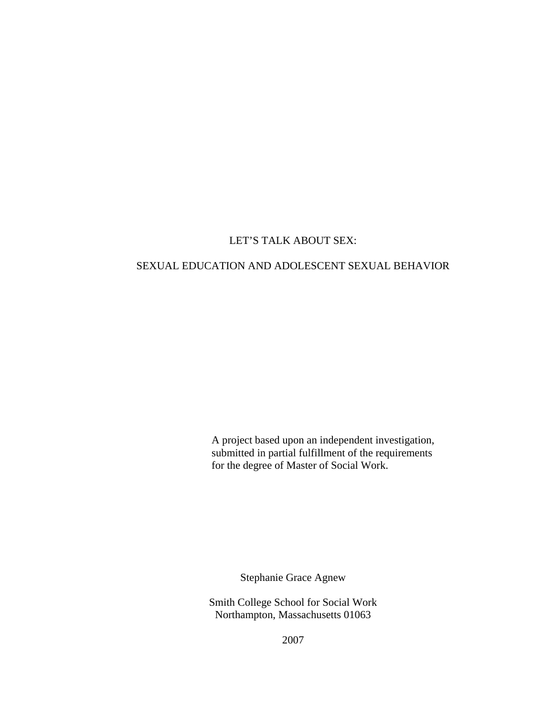## LET'S TALK ABOUT SEX:

## SEXUAL EDUCATION AND ADOLESCENT SEXUAL BEHAVIOR

A project based upon an independent investigation, submitted in partial fulfillment of the requirements for the degree of Master of Social Work.

Stephanie Grace Agnew

Smith College School for Social Work Northampton, Massachusetts 01063

2007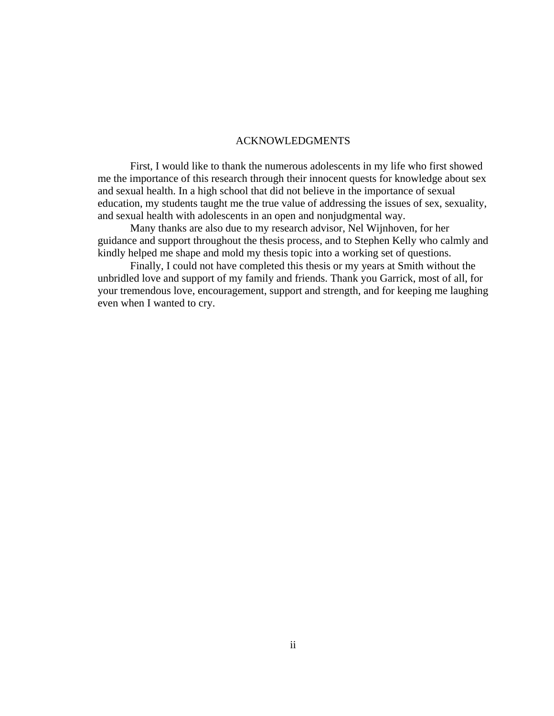#### ACKNOWLEDGMENTS

First, I would like to thank the numerous adolescents in my life who first showed me the importance of this research through their innocent quests for knowledge about sex and sexual health. In a high school that did not believe in the importance of sexual education, my students taught me the true value of addressing the issues of sex, sexuality, and sexual health with adolescents in an open and nonjudgmental way.

Many thanks are also due to my research advisor, Nel Wijnhoven, for her guidance and support throughout the thesis process, and to Stephen Kelly who calmly and kindly helped me shape and mold my thesis topic into a working set of questions.

Finally, I could not have completed this thesis or my years at Smith without the unbridled love and support of my family and friends. Thank you Garrick, most of all, for your tremendous love, encouragement, support and strength, and for keeping me laughing even when I wanted to cry.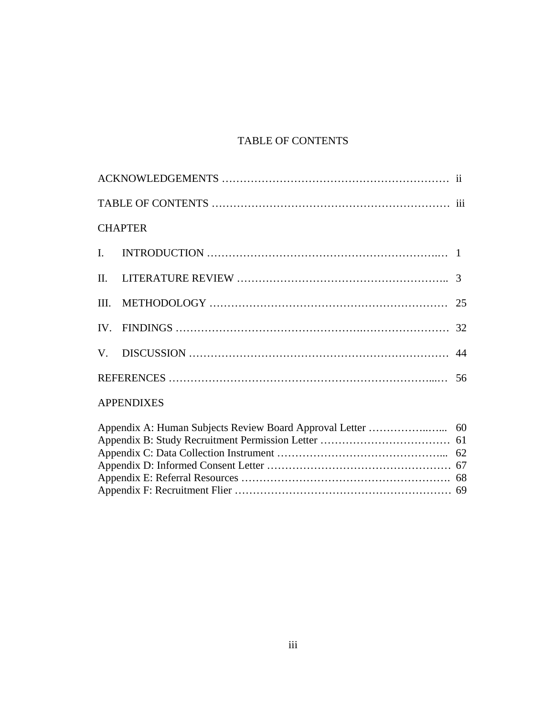# TABLE OF CONTENTS

| <b>CHAPTER</b>    |  |
|-------------------|--|
| $\mathbf{I}$ .    |  |
| II.               |  |
| III.              |  |
|                   |  |
| V.                |  |
|                   |  |
| <b>APPENDIXES</b> |  |
|                   |  |
|                   |  |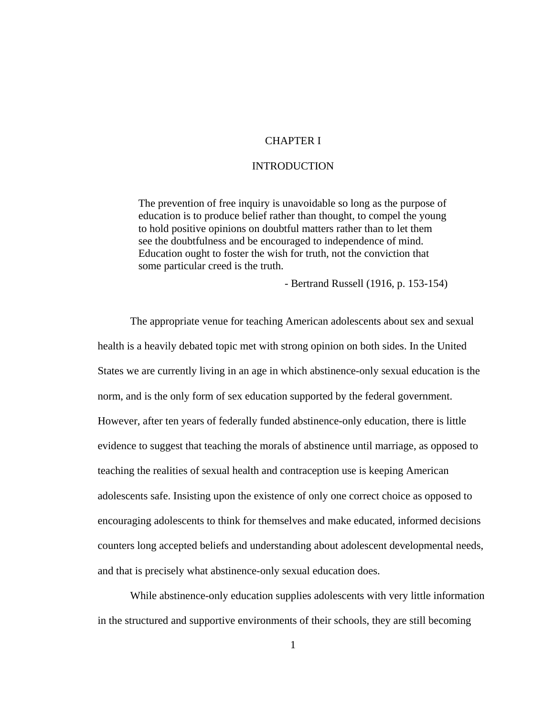#### CHAPTER I

#### INTRODUCTION

The prevention of free inquiry is unavoidable so long as the purpose of education is to produce belief rather than thought, to compel the young to hold positive opinions on doubtful matters rather than to let them see the doubtfulness and be encouraged to independence of mind. Education ought to foster the wish for truth, not the conviction that some particular creed is the truth.

- Bertrand Russell (1916, p. 153-154)

The appropriate venue for teaching American adolescents about sex and sexual health is a heavily debated topic met with strong opinion on both sides. In the United States we are currently living in an age in which abstinence-only sexual education is the norm, and is the only form of sex education supported by the federal government. However, after ten years of federally funded abstinence-only education, there is little evidence to suggest that teaching the morals of abstinence until marriage, as opposed to teaching the realities of sexual health and contraception use is keeping American adolescents safe. Insisting upon the existence of only one correct choice as opposed to encouraging adolescents to think for themselves and make educated, informed decisions counters long accepted beliefs and understanding about adolescent developmental needs, and that is precisely what abstinence-only sexual education does.

While abstinence-only education supplies adolescents with very little information in the structured and supportive environments of their schools, they are still becoming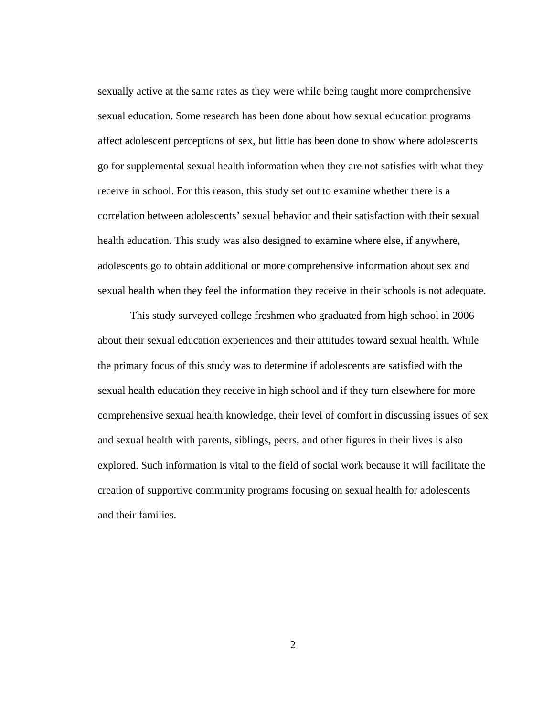sexually active at the same rates as they were while being taught more comprehensive sexual education. Some research has been done about how sexual education programs affect adolescent perceptions of sex, but little has been done to show where adolescents go for supplemental sexual health information when they are not satisfies with what they receive in school. For this reason, this study set out to examine whether there is a correlation between adolescents' sexual behavior and their satisfaction with their sexual health education. This study was also designed to examine where else, if anywhere, adolescents go to obtain additional or more comprehensive information about sex and sexual health when they feel the information they receive in their schools is not adequate.

This study surveyed college freshmen who graduated from high school in 2006 about their sexual education experiences and their attitudes toward sexual health. While the primary focus of this study was to determine if adolescents are satisfied with the sexual health education they receive in high school and if they turn elsewhere for more comprehensive sexual health knowledge, their level of comfort in discussing issues of sex and sexual health with parents, siblings, peers, and other figures in their lives is also explored. Such information is vital to the field of social work because it will facilitate the creation of supportive community programs focusing on sexual health for adolescents and their families.

2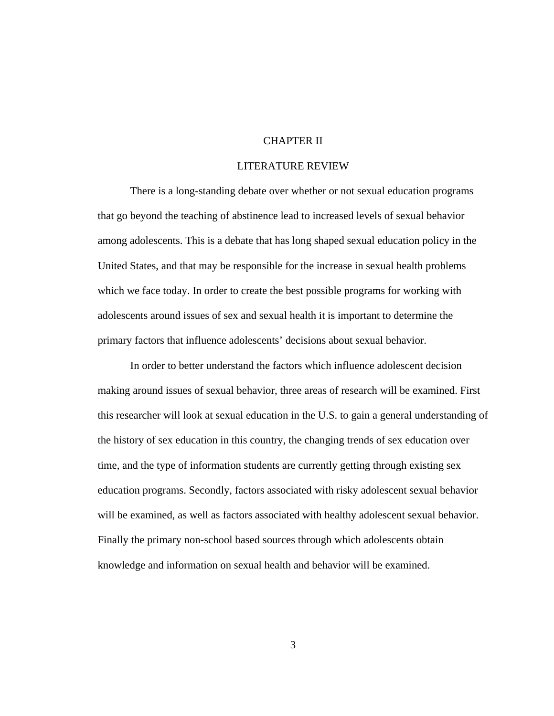#### CHAPTER II

#### LITERATURE REVIEW

 There is a long-standing debate over whether or not sexual education programs that go beyond the teaching of abstinence lead to increased levels of sexual behavior among adolescents. This is a debate that has long shaped sexual education policy in the United States, and that may be responsible for the increase in sexual health problems which we face today. In order to create the best possible programs for working with adolescents around issues of sex and sexual health it is important to determine the primary factors that influence adolescents' decisions about sexual behavior.

 In order to better understand the factors which influence adolescent decision making around issues of sexual behavior, three areas of research will be examined. First this researcher will look at sexual education in the U.S. to gain a general understanding of the history of sex education in this country, the changing trends of sex education over time, and the type of information students are currently getting through existing sex education programs. Secondly, factors associated with risky adolescent sexual behavior will be examined, as well as factors associated with healthy adolescent sexual behavior. Finally the primary non-school based sources through which adolescents obtain knowledge and information on sexual health and behavior will be examined.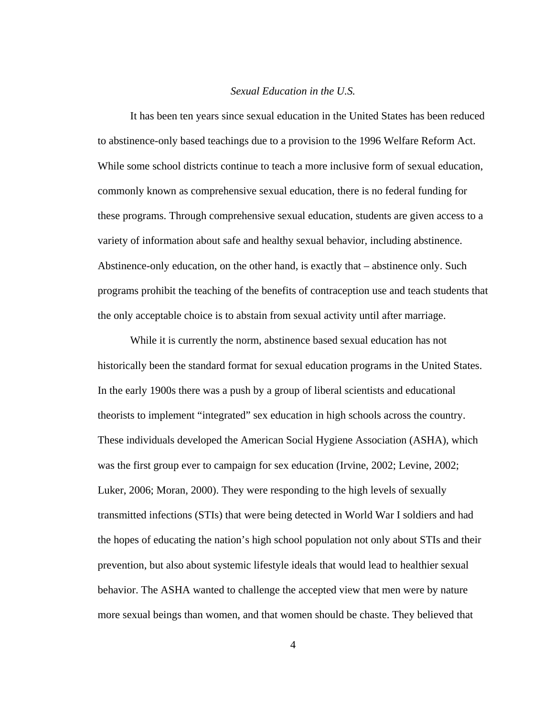#### *Sexual Education in the U.S.*

 It has been ten years since sexual education in the United States has been reduced to abstinence-only based teachings due to a provision to the 1996 Welfare Reform Act. While some school districts continue to teach a more inclusive form of sexual education, commonly known as comprehensive sexual education, there is no federal funding for these programs. Through comprehensive sexual education, students are given access to a variety of information about safe and healthy sexual behavior, including abstinence. Abstinence-only education, on the other hand, is exactly that – abstinence only. Such programs prohibit the teaching of the benefits of contraception use and teach students that the only acceptable choice is to abstain from sexual activity until after marriage.

 While it is currently the norm, abstinence based sexual education has not historically been the standard format for sexual education programs in the United States. In the early 1900s there was a push by a group of liberal scientists and educational theorists to implement "integrated" sex education in high schools across the country. These individuals developed the American Social Hygiene Association (ASHA), which was the first group ever to campaign for sex education (Irvine, 2002; Levine, 2002; Luker, 2006; Moran, 2000). They were responding to the high levels of sexually transmitted infections (STIs) that were being detected in World War I soldiers and had the hopes of educating the nation's high school population not only about STIs and their prevention, but also about systemic lifestyle ideals that would lead to healthier sexual behavior. The ASHA wanted to challenge the accepted view that men were by nature more sexual beings than women, and that women should be chaste. They believed that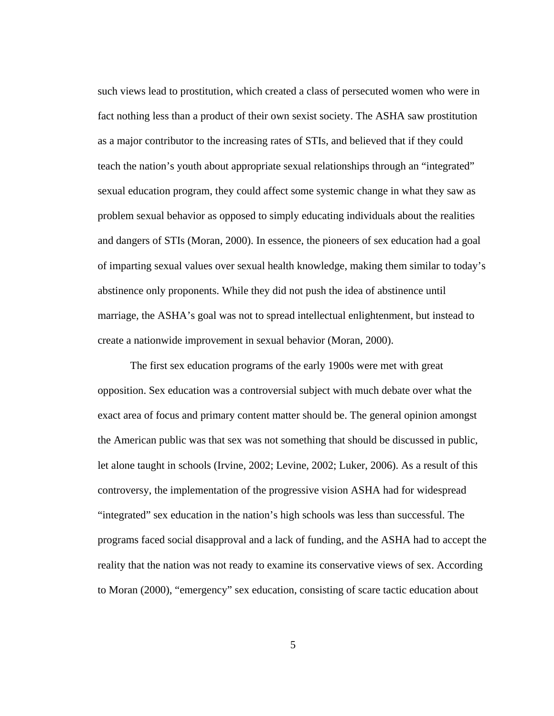such views lead to prostitution, which created a class of persecuted women who were in fact nothing less than a product of their own sexist society. The ASHA saw prostitution as a major contributor to the increasing rates of STIs, and believed that if they could teach the nation's youth about appropriate sexual relationships through an "integrated" sexual education program, they could affect some systemic change in what they saw as problem sexual behavior as opposed to simply educating individuals about the realities and dangers of STIs (Moran, 2000). In essence, the pioneers of sex education had a goal of imparting sexual values over sexual health knowledge, making them similar to today's abstinence only proponents. While they did not push the idea of abstinence until marriage, the ASHA's goal was not to spread intellectual enlightenment, but instead to create a nationwide improvement in sexual behavior (Moran, 2000).

 The first sex education programs of the early 1900s were met with great opposition. Sex education was a controversial subject with much debate over what the exact area of focus and primary content matter should be. The general opinion amongst the American public was that sex was not something that should be discussed in public, let alone taught in schools (Irvine, 2002; Levine, 2002; Luker, 2006). As a result of this controversy, the implementation of the progressive vision ASHA had for widespread "integrated" sex education in the nation's high schools was less than successful. The programs faced social disapproval and a lack of funding, and the ASHA had to accept the reality that the nation was not ready to examine its conservative views of sex. According to Moran (2000), "emergency" sex education, consisting of scare tactic education about

5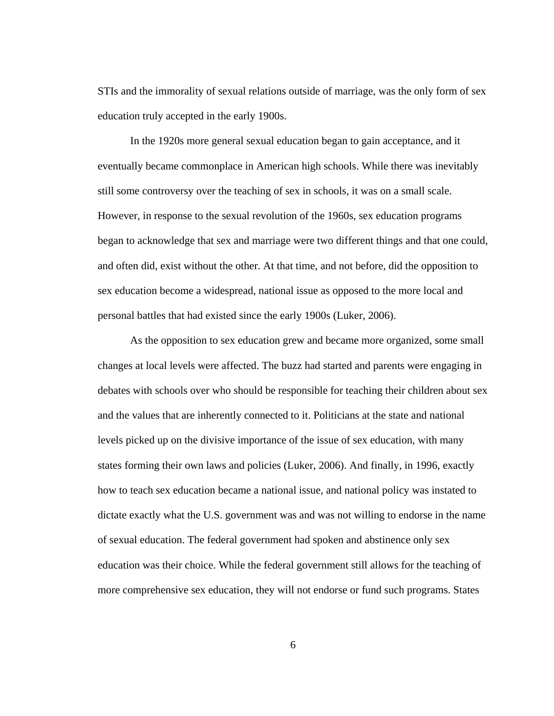STIs and the immorality of sexual relations outside of marriage, was the only form of sex education truly accepted in the early 1900s.

 In the 1920s more general sexual education began to gain acceptance, and it eventually became commonplace in American high schools. While there was inevitably still some controversy over the teaching of sex in schools, it was on a small scale. However, in response to the sexual revolution of the 1960s, sex education programs began to acknowledge that sex and marriage were two different things and that one could, and often did, exist without the other. At that time, and not before, did the opposition to sex education become a widespread, national issue as opposed to the more local and personal battles that had existed since the early 1900s (Luker, 2006).

 As the opposition to sex education grew and became more organized, some small changes at local levels were affected. The buzz had started and parents were engaging in debates with schools over who should be responsible for teaching their children about sex and the values that are inherently connected to it. Politicians at the state and national levels picked up on the divisive importance of the issue of sex education, with many states forming their own laws and policies (Luker, 2006). And finally, in 1996, exactly how to teach sex education became a national issue, and national policy was instated to dictate exactly what the U.S. government was and was not willing to endorse in the name of sexual education. The federal government had spoken and abstinence only sex education was their choice. While the federal government still allows for the teaching of more comprehensive sex education, they will not endorse or fund such programs. States

6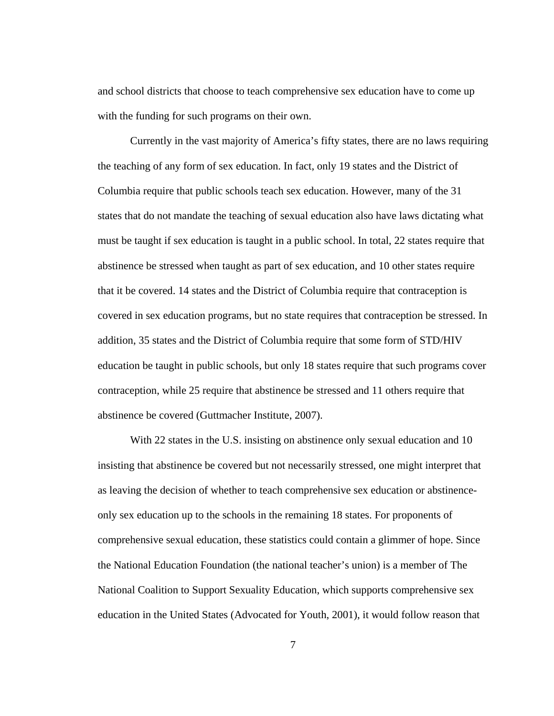and school districts that choose to teach comprehensive sex education have to come up with the funding for such programs on their own.

 Currently in the vast majority of America's fifty states, there are no laws requiring the teaching of any form of sex education. In fact, only 19 states and the District of Columbia require that public schools teach sex education. However, many of the 31 states that do not mandate the teaching of sexual education also have laws dictating what must be taught if sex education is taught in a public school. In total, 22 states require that abstinence be stressed when taught as part of sex education, and 10 other states require that it be covered. 14 states and the District of Columbia require that contraception is covered in sex education programs, but no state requires that contraception be stressed. In addition, 35 states and the District of Columbia require that some form of STD/HIV education be taught in public schools, but only 18 states require that such programs cover contraception, while 25 require that abstinence be stressed and 11 others require that abstinence be covered (Guttmacher Institute, 2007).

With 22 states in the U.S. insisting on abstinence only sexual education and 10 insisting that abstinence be covered but not necessarily stressed, one might interpret that as leaving the decision of whether to teach comprehensive sex education or abstinenceonly sex education up to the schools in the remaining 18 states. For proponents of comprehensive sexual education, these statistics could contain a glimmer of hope. Since the National Education Foundation (the national teacher's union) is a member of The National Coalition to Support Sexuality Education, which supports comprehensive sex education in the United States (Advocated for Youth, 2001), it would follow reason that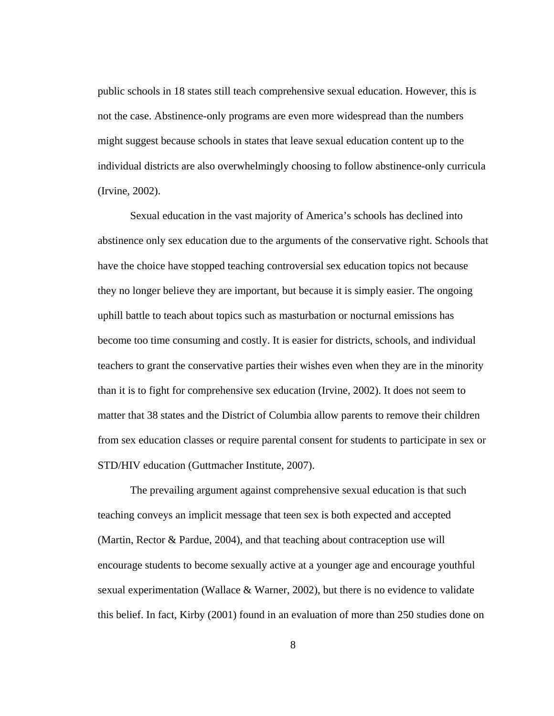public schools in 18 states still teach comprehensive sexual education. However, this is not the case. Abstinence-only programs are even more widespread than the numbers might suggest because schools in states that leave sexual education content up to the individual districts are also overwhelmingly choosing to follow abstinence-only curricula (Irvine, 2002).

 Sexual education in the vast majority of America's schools has declined into abstinence only sex education due to the arguments of the conservative right. Schools that have the choice have stopped teaching controversial sex education topics not because they no longer believe they are important, but because it is simply easier. The ongoing uphill battle to teach about topics such as masturbation or nocturnal emissions has become too time consuming and costly. It is easier for districts, schools, and individual teachers to grant the conservative parties their wishes even when they are in the minority than it is to fight for comprehensive sex education (Irvine, 2002). It does not seem to matter that 38 states and the District of Columbia allow parents to remove their children from sex education classes or require parental consent for students to participate in sex or STD/HIV education (Guttmacher Institute, 2007).

The prevailing argument against comprehensive sexual education is that such teaching conveys an implicit message that teen sex is both expected and accepted (Martin, Rector & Pardue, 2004), and that teaching about contraception use will encourage students to become sexually active at a younger age and encourage youthful sexual experimentation (Wallace & Warner, 2002), but there is no evidence to validate this belief. In fact, Kirby (2001) found in an evaluation of more than 250 studies done on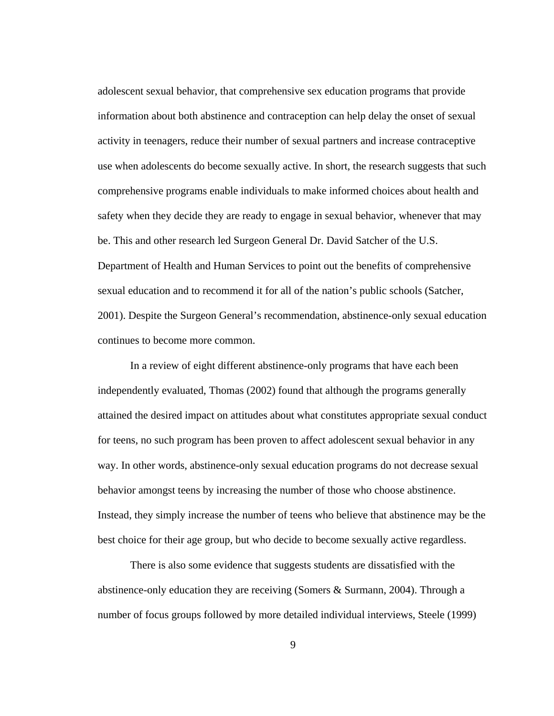adolescent sexual behavior, that comprehensive sex education programs that provide information about both abstinence and contraception can help delay the onset of sexual activity in teenagers, reduce their number of sexual partners and increase contraceptive use when adolescents do become sexually active. In short, the research suggests that such comprehensive programs enable individuals to make informed choices about health and safety when they decide they are ready to engage in sexual behavior, whenever that may be. This and other research led Surgeon General Dr. David Satcher of the U.S. Department of Health and Human Services to point out the benefits of comprehensive sexual education and to recommend it for all of the nation's public schools (Satcher, 2001). Despite the Surgeon General's recommendation, abstinence-only sexual education continues to become more common.

 In a review of eight different abstinence-only programs that have each been independently evaluated, Thomas (2002) found that although the programs generally attained the desired impact on attitudes about what constitutes appropriate sexual conduct for teens, no such program has been proven to affect adolescent sexual behavior in any way. In other words, abstinence-only sexual education programs do not decrease sexual behavior amongst teens by increasing the number of those who choose abstinence. Instead, they simply increase the number of teens who believe that abstinence may be the best choice for their age group, but who decide to become sexually active regardless.

 There is also some evidence that suggests students are dissatisfied with the abstinence-only education they are receiving (Somers & Surmann, 2004). Through a number of focus groups followed by more detailed individual interviews, Steele (1999)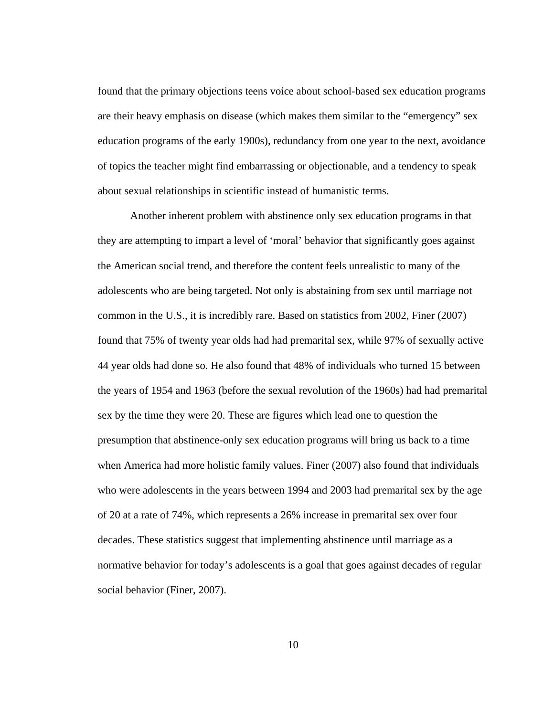found that the primary objections teens voice about school-based sex education programs are their heavy emphasis on disease (which makes them similar to the "emergency" sex education programs of the early 1900s), redundancy from one year to the next, avoidance of topics the teacher might find embarrassing or objectionable, and a tendency to speak about sexual relationships in scientific instead of humanistic terms.

 Another inherent problem with abstinence only sex education programs in that they are attempting to impart a level of 'moral' behavior that significantly goes against the American social trend, and therefore the content feels unrealistic to many of the adolescents who are being targeted. Not only is abstaining from sex until marriage not common in the U.S., it is incredibly rare. Based on statistics from 2002, Finer (2007) found that 75% of twenty year olds had had premarital sex, while 97% of sexually active 44 year olds had done so. He also found that 48% of individuals who turned 15 between the years of 1954 and 1963 (before the sexual revolution of the 1960s) had had premarital sex by the time they were 20. These are figures which lead one to question the presumption that abstinence-only sex education programs will bring us back to a time when America had more holistic family values. Finer (2007) also found that individuals who were adolescents in the years between 1994 and 2003 had premarital sex by the age of 20 at a rate of 74%, which represents a 26% increase in premarital sex over four decades. These statistics suggest that implementing abstinence until marriage as a normative behavior for today's adolescents is a goal that goes against decades of regular social behavior (Finer, 2007).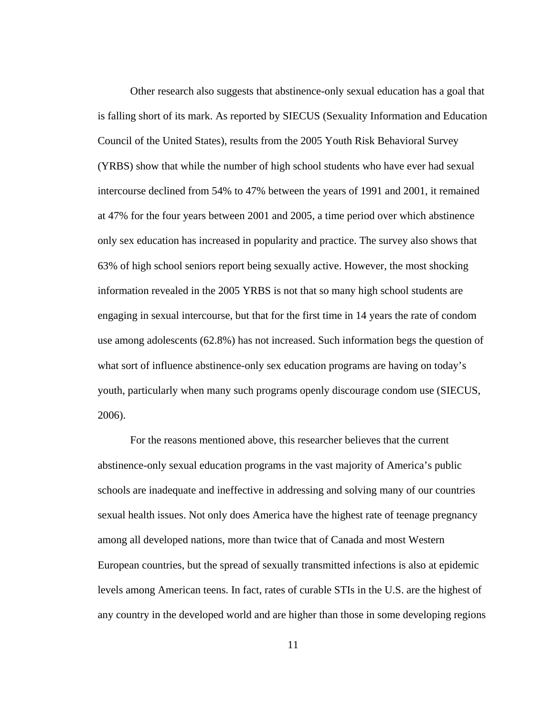Other research also suggests that abstinence-only sexual education has a goal that is falling short of its mark. As reported by SIECUS (Sexuality Information and Education Council of the United States), results from the 2005 Youth Risk Behavioral Survey (YRBS) show that while the number of high school students who have ever had sexual intercourse declined from 54% to 47% between the years of 1991 and 2001, it remained at 47% for the four years between 2001 and 2005, a time period over which abstinence only sex education has increased in popularity and practice. The survey also shows that 63% of high school seniors report being sexually active. However, the most shocking information revealed in the 2005 YRBS is not that so many high school students are engaging in sexual intercourse, but that for the first time in 14 years the rate of condom use among adolescents (62.8%) has not increased. Such information begs the question of what sort of influence abstinence-only sex education programs are having on today's youth, particularly when many such programs openly discourage condom use (SIECUS, 2006).

 For the reasons mentioned above, this researcher believes that the current abstinence-only sexual education programs in the vast majority of America's public schools are inadequate and ineffective in addressing and solving many of our countries sexual health issues. Not only does America have the highest rate of teenage pregnancy among all developed nations, more than twice that of Canada and most Western European countries, but the spread of sexually transmitted infections is also at epidemic levels among American teens. In fact, rates of curable STIs in the U.S. are the highest of any country in the developed world and are higher than those in some developing regions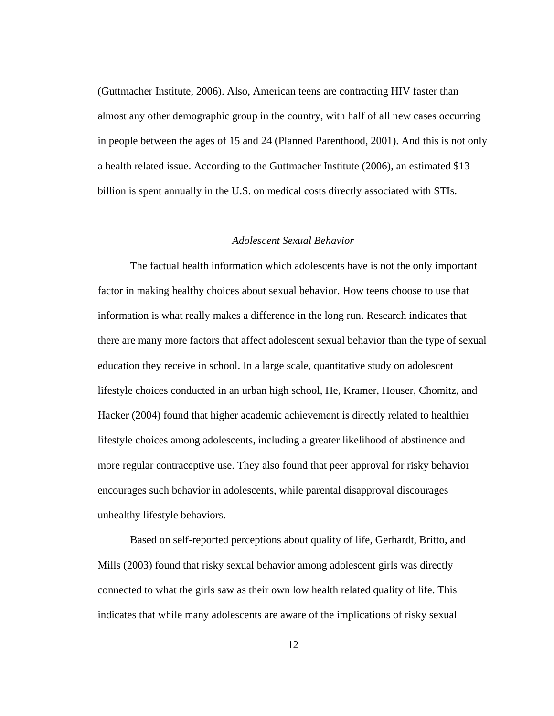(Guttmacher Institute, 2006). Also, American teens are contracting HIV faster than almost any other demographic group in the country, with half of all new cases occurring in people between the ages of 15 and 24 (Planned Parenthood, 2001). And this is not only a health related issue. According to the Guttmacher Institute (2006), an estimated \$13 billion is spent annually in the U.S. on medical costs directly associated with STIs.

#### *Adolescent Sexual Behavior*

 The factual health information which adolescents have is not the only important factor in making healthy choices about sexual behavior. How teens choose to use that information is what really makes a difference in the long run. Research indicates that there are many more factors that affect adolescent sexual behavior than the type of sexual education they receive in school. In a large scale, quantitative study on adolescent lifestyle choices conducted in an urban high school, He, Kramer, Houser, Chomitz, and Hacker (2004) found that higher academic achievement is directly related to healthier lifestyle choices among adolescents, including a greater likelihood of abstinence and more regular contraceptive use. They also found that peer approval for risky behavior encourages such behavior in adolescents, while parental disapproval discourages unhealthy lifestyle behaviors.

 Based on self-reported perceptions about quality of life, Gerhardt, Britto, and Mills (2003) found that risky sexual behavior among adolescent girls was directly connected to what the girls saw as their own low health related quality of life. This indicates that while many adolescents are aware of the implications of risky sexual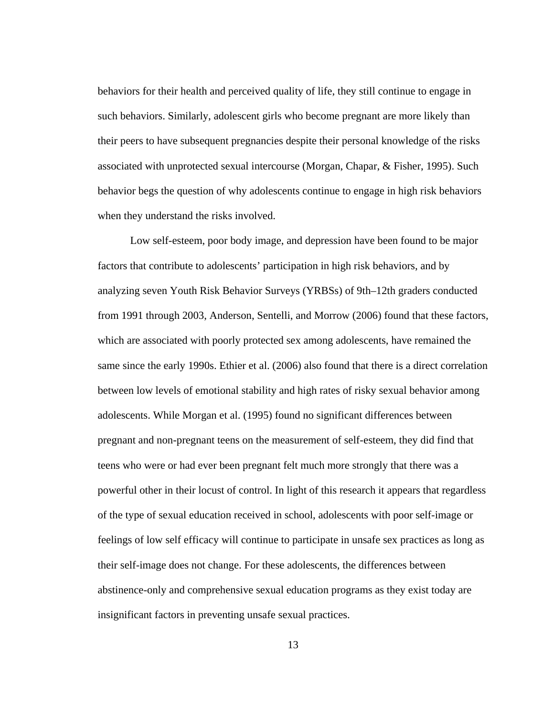behaviors for their health and perceived quality of life, they still continue to engage in such behaviors. Similarly, adolescent girls who become pregnant are more likely than their peers to have subsequent pregnancies despite their personal knowledge of the risks associated with unprotected sexual intercourse (Morgan, Chapar, & Fisher, 1995). Such behavior begs the question of why adolescents continue to engage in high risk behaviors when they understand the risks involved.

 Low self-esteem, poor body image, and depression have been found to be major factors that contribute to adolescents' participation in high risk behaviors, and by analyzing seven Youth Risk Behavior Surveys (YRBSs) of 9th–12th graders conducted from 1991 through 2003, Anderson, Sentelli, and Morrow (2006) found that these factors, which are associated with poorly protected sex among adolescents, have remained the same since the early 1990s. Ethier et al. (2006) also found that there is a direct correlation between low levels of emotional stability and high rates of risky sexual behavior among adolescents. While Morgan et al. (1995) found no significant differences between pregnant and non-pregnant teens on the measurement of self-esteem, they did find that teens who were or had ever been pregnant felt much more strongly that there was a powerful other in their locust of control. In light of this research it appears that regardless of the type of sexual education received in school, adolescents with poor self-image or feelings of low self efficacy will continue to participate in unsafe sex practices as long as their self-image does not change. For these adolescents, the differences between abstinence-only and comprehensive sexual education programs as they exist today are insignificant factors in preventing unsafe sexual practices.

13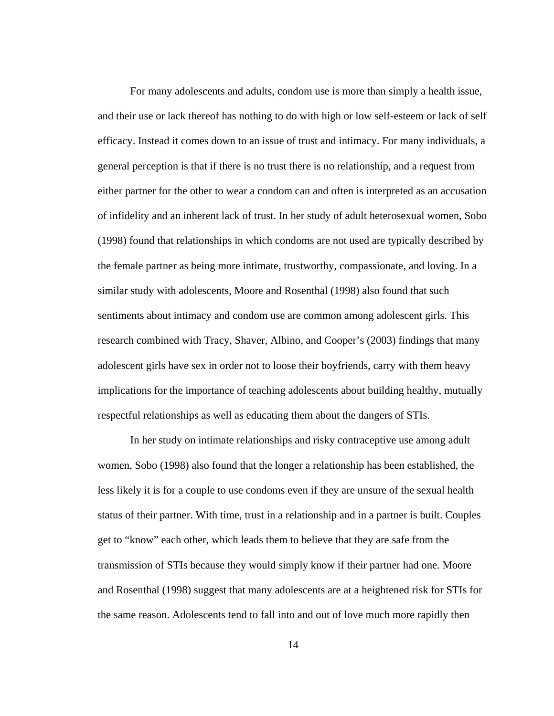For many adolescents and adults, condom use is more than simply a health issue, and their use or lack thereof has nothing to do with high or low self-esteem or lack of self efficacy. Instead it comes down to an issue of trust and intimacy. For many individuals, a general perception is that if there is no trust there is no relationship, and a request from either partner for the other to wear a condom can and often is interpreted as an accusation of infidelity and an inherent lack of trust. In her study of adult heterosexual women, Sobo (1998) found that relationships in which condoms are not used are typically described by the female partner as being more intimate, trustworthy, compassionate, and loving. In a similar study with adolescents, Moore and Rosenthal (1998) also found that such sentiments about intimacy and condom use are common among adolescent girls. This research combined with Tracy, Shaver, Albino, and Cooper's (2003) findings that many adolescent girls have sex in order not to loose their boyfriends, carry with them heavy implications for the importance of teaching adolescents about building healthy, mutually respectful relationships as well as educating them about the dangers of STIs.

 In her study on intimate relationships and risky contraceptive use among adult women, Sobo (1998) also found that the longer a relationship has been established, the less likely it is for a couple to use condoms even if they are unsure of the sexual health status of their partner. With time, trust in a relationship and in a partner is built. Couples get to "know" each other, which leads them to believe that they are safe from the transmission of STIs because they would simply know if their partner had one. Moore and Rosenthal (1998) suggest that many adolescents are at a heightened risk for STIs for the same reason. Adolescents tend to fall into and out of love much more rapidly then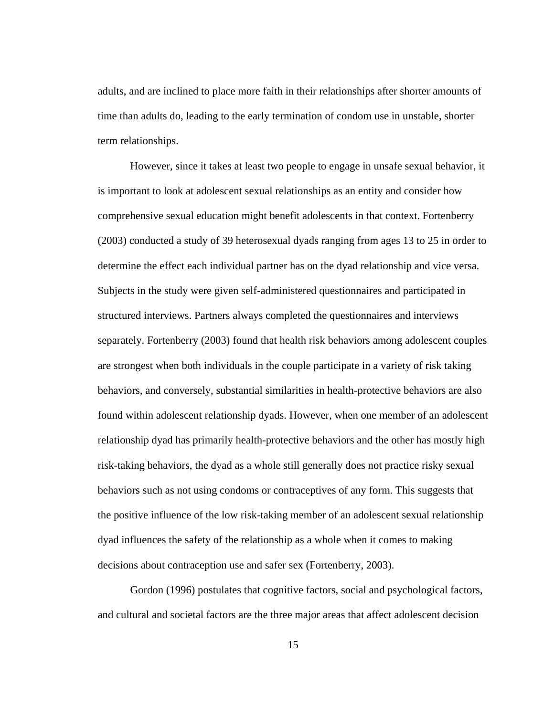adults, and are inclined to place more faith in their relationships after shorter amounts of time than adults do, leading to the early termination of condom use in unstable, shorter term relationships.

 However, since it takes at least two people to engage in unsafe sexual behavior, it is important to look at adolescent sexual relationships as an entity and consider how comprehensive sexual education might benefit adolescents in that context. Fortenberry (2003) conducted a study of 39 heterosexual dyads ranging from ages 13 to 25 in order to determine the effect each individual partner has on the dyad relationship and vice versa. Subjects in the study were given self-administered questionnaires and participated in structured interviews. Partners always completed the questionnaires and interviews separately. Fortenberry (2003) found that health risk behaviors among adolescent couples are strongest when both individuals in the couple participate in a variety of risk taking behaviors, and conversely, substantial similarities in health-protective behaviors are also found within adolescent relationship dyads. However, when one member of an adolescent relationship dyad has primarily health-protective behaviors and the other has mostly high risk-taking behaviors, the dyad as a whole still generally does not practice risky sexual behaviors such as not using condoms or contraceptives of any form. This suggests that the positive influence of the low risk-taking member of an adolescent sexual relationship dyad influences the safety of the relationship as a whole when it comes to making decisions about contraception use and safer sex (Fortenberry, 2003).

Gordon (1996) postulates that cognitive factors, social and psychological factors, and cultural and societal factors are the three major areas that affect adolescent decision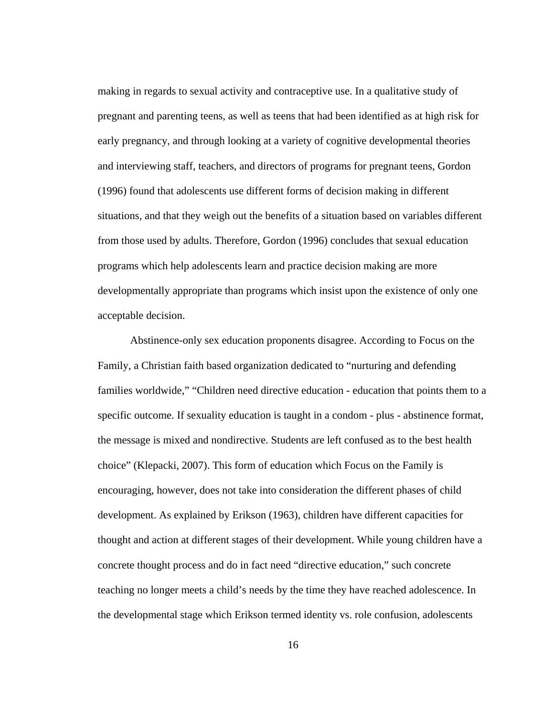making in regards to sexual activity and contraceptive use. In a qualitative study of pregnant and parenting teens, as well as teens that had been identified as at high risk for early pregnancy, and through looking at a variety of cognitive developmental theories and interviewing staff, teachers, and directors of programs for pregnant teens, Gordon (1996) found that adolescents use different forms of decision making in different situations, and that they weigh out the benefits of a situation based on variables different from those used by adults. Therefore, Gordon (1996) concludes that sexual education programs which help adolescents learn and practice decision making are more developmentally appropriate than programs which insist upon the existence of only one acceptable decision.

Abstinence-only sex education proponents disagree. According to Focus on the Family, a Christian faith based organization dedicated to "nurturing and defending families worldwide," "Children need directive education - education that points them to a specific outcome. If sexuality education is taught in a condom - plus - abstinence format, the message is mixed and nondirective. Students are left confused as to the best health choice" (Klepacki, 2007). This form of education which Focus on the Family is encouraging, however, does not take into consideration the different phases of child development. As explained by Erikson (1963), children have different capacities for thought and action at different stages of their development. While young children have a concrete thought process and do in fact need "directive education," such concrete teaching no longer meets a child's needs by the time they have reached adolescence. In the developmental stage which Erikson termed identity vs. role confusion, adolescents

16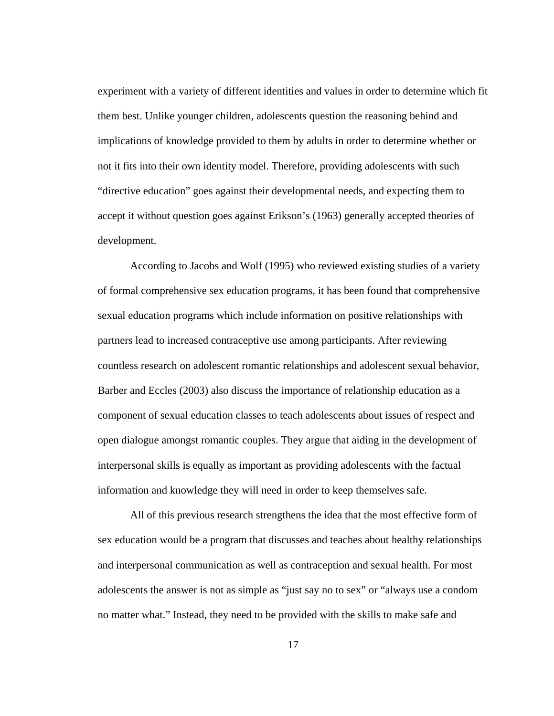experiment with a variety of different identities and values in order to determine which fit them best. Unlike younger children, adolescents question the reasoning behind and implications of knowledge provided to them by adults in order to determine whether or not it fits into their own identity model. Therefore, providing adolescents with such "directive education" goes against their developmental needs, and expecting them to accept it without question goes against Erikson's (1963) generally accepted theories of development.

According to Jacobs and Wolf (1995) who reviewed existing studies of a variety of formal comprehensive sex education programs, it has been found that comprehensive sexual education programs which include information on positive relationships with partners lead to increased contraceptive use among participants. After reviewing countless research on adolescent romantic relationships and adolescent sexual behavior, Barber and Eccles (2003) also discuss the importance of relationship education as a component of sexual education classes to teach adolescents about issues of respect and open dialogue amongst romantic couples. They argue that aiding in the development of interpersonal skills is equally as important as providing adolescents with the factual information and knowledge they will need in order to keep themselves safe.

All of this previous research strengthens the idea that the most effective form of sex education would be a program that discusses and teaches about healthy relationships and interpersonal communication as well as contraception and sexual health. For most adolescents the answer is not as simple as "just say no to sex" or "always use a condom no matter what." Instead, they need to be provided with the skills to make safe and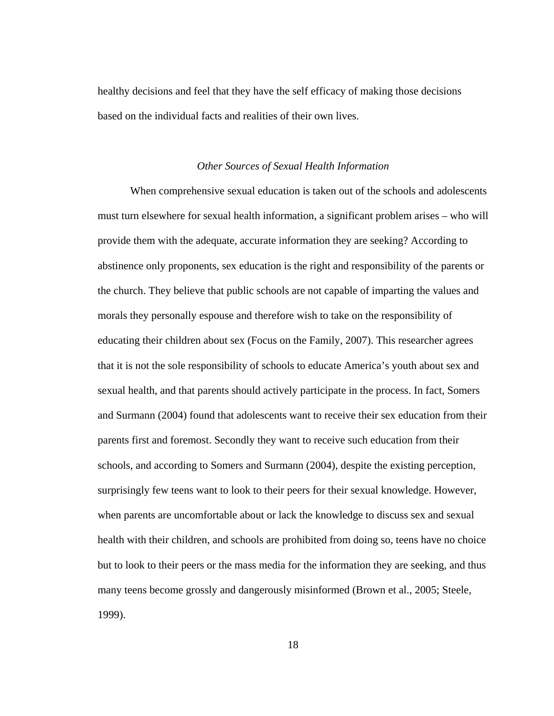healthy decisions and feel that they have the self efficacy of making those decisions based on the individual facts and realities of their own lives.

#### *Other Sources of Sexual Health Information*

 When comprehensive sexual education is taken out of the schools and adolescents must turn elsewhere for sexual health information, a significant problem arises – who will provide them with the adequate, accurate information they are seeking? According to abstinence only proponents, sex education is the right and responsibility of the parents or the church. They believe that public schools are not capable of imparting the values and morals they personally espouse and therefore wish to take on the responsibility of educating their children about sex (Focus on the Family, 2007). This researcher agrees that it is not the sole responsibility of schools to educate America's youth about sex and sexual health, and that parents should actively participate in the process. In fact, Somers and Surmann (2004) found that adolescents want to receive their sex education from their parents first and foremost. Secondly they want to receive such education from their schools, and according to Somers and Surmann (2004), despite the existing perception, surprisingly few teens want to look to their peers for their sexual knowledge. However, when parents are uncomfortable about or lack the knowledge to discuss sex and sexual health with their children, and schools are prohibited from doing so, teens have no choice but to look to their peers or the mass media for the information they are seeking, and thus many teens become grossly and dangerously misinformed (Brown et al., 2005; Steele, 1999).

18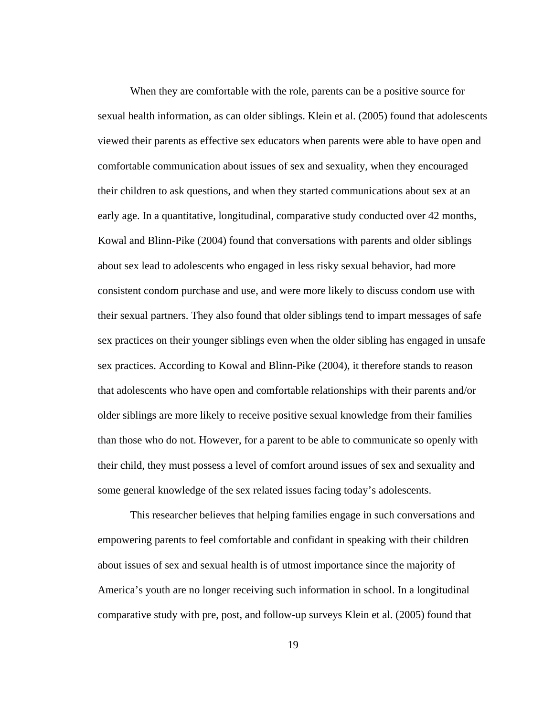When they are comfortable with the role, parents can be a positive source for sexual health information, as can older siblings. Klein et al. (2005) found that adolescents viewed their parents as effective sex educators when parents were able to have open and comfortable communication about issues of sex and sexuality, when they encouraged their children to ask questions, and when they started communications about sex at an early age. In a quantitative, longitudinal, comparative study conducted over 42 months, Kowal and Blinn-Pike (2004) found that conversations with parents and older siblings about sex lead to adolescents who engaged in less risky sexual behavior, had more consistent condom purchase and use, and were more likely to discuss condom use with their sexual partners. They also found that older siblings tend to impart messages of safe sex practices on their younger siblings even when the older sibling has engaged in unsafe sex practices. According to Kowal and Blinn-Pike (2004), it therefore stands to reason that adolescents who have open and comfortable relationships with their parents and/or older siblings are more likely to receive positive sexual knowledge from their families than those who do not. However, for a parent to be able to communicate so openly with their child, they must possess a level of comfort around issues of sex and sexuality and some general knowledge of the sex related issues facing today's adolescents.

 This researcher believes that helping families engage in such conversations and empowering parents to feel comfortable and confidant in speaking with their children about issues of sex and sexual health is of utmost importance since the majority of America's youth are no longer receiving such information in school. In a longitudinal comparative study with pre, post, and follow-up surveys Klein et al. (2005) found that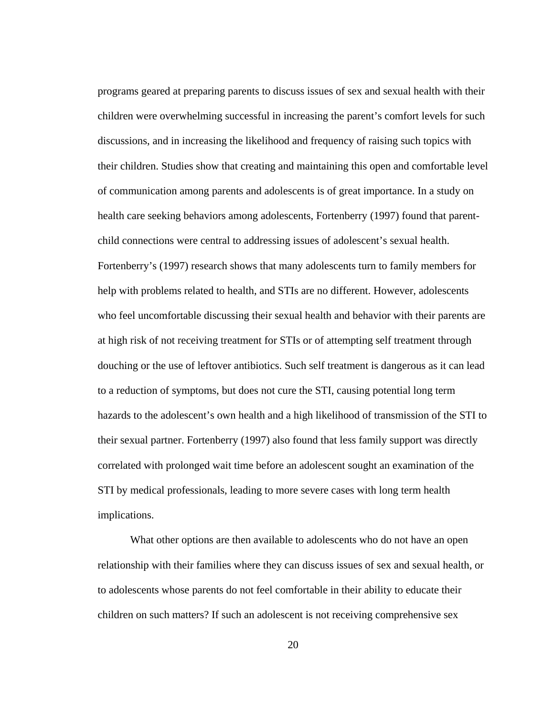programs geared at preparing parents to discuss issues of sex and sexual health with their children were overwhelming successful in increasing the parent's comfort levels for such discussions, and in increasing the likelihood and frequency of raising such topics with their children. Studies show that creating and maintaining this open and comfortable level of communication among parents and adolescents is of great importance. In a study on health care seeking behaviors among adolescents, Fortenberry (1997) found that parentchild connections were central to addressing issues of adolescent's sexual health. Fortenberry's (1997) research shows that many adolescents turn to family members for help with problems related to health, and STIs are no different. However, adolescents who feel uncomfortable discussing their sexual health and behavior with their parents are at high risk of not receiving treatment for STIs or of attempting self treatment through douching or the use of leftover antibiotics. Such self treatment is dangerous as it can lead to a reduction of symptoms, but does not cure the STI, causing potential long term hazards to the adolescent's own health and a high likelihood of transmission of the STI to their sexual partner. Fortenberry (1997) also found that less family support was directly correlated with prolonged wait time before an adolescent sought an examination of the STI by medical professionals, leading to more severe cases with long term health implications.

 What other options are then available to adolescents who do not have an open relationship with their families where they can discuss issues of sex and sexual health, or to adolescents whose parents do not feel comfortable in their ability to educate their children on such matters? If such an adolescent is not receiving comprehensive sex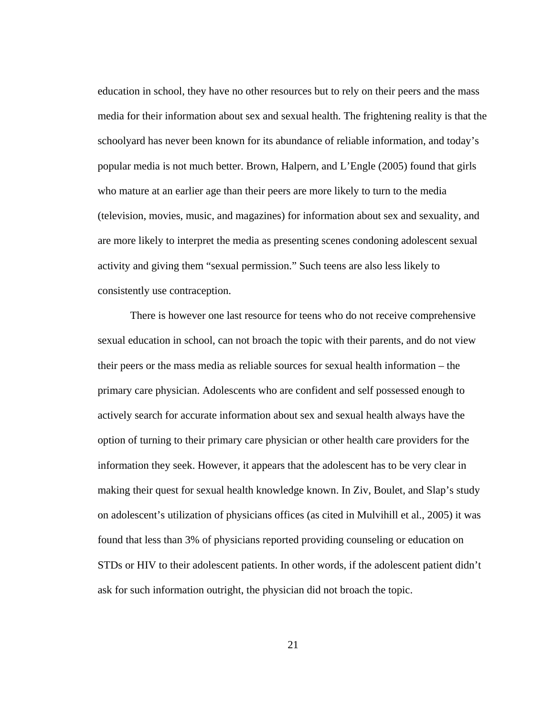education in school, they have no other resources but to rely on their peers and the mass media for their information about sex and sexual health. The frightening reality is that the schoolyard has never been known for its abundance of reliable information, and today's popular media is not much better. Brown, Halpern, and L'Engle (2005) found that girls who mature at an earlier age than their peers are more likely to turn to the media (television, movies, music, and magazines) for information about sex and sexuality, and are more likely to interpret the media as presenting scenes condoning adolescent sexual activity and giving them "sexual permission." Such teens are also less likely to consistently use contraception.

 There is however one last resource for teens who do not receive comprehensive sexual education in school, can not broach the topic with their parents, and do not view their peers or the mass media as reliable sources for sexual health information – the primary care physician. Adolescents who are confident and self possessed enough to actively search for accurate information about sex and sexual health always have the option of turning to their primary care physician or other health care providers for the information they seek. However, it appears that the adolescent has to be very clear in making their quest for sexual health knowledge known. In Ziv, Boulet, and Slap's study on adolescent's utilization of physicians offices (as cited in Mulvihill et al., 2005) it was found that less than 3% of physicians reported providing counseling or education on STDs or HIV to their adolescent patients. In other words, if the adolescent patient didn't ask for such information outright, the physician did not broach the topic.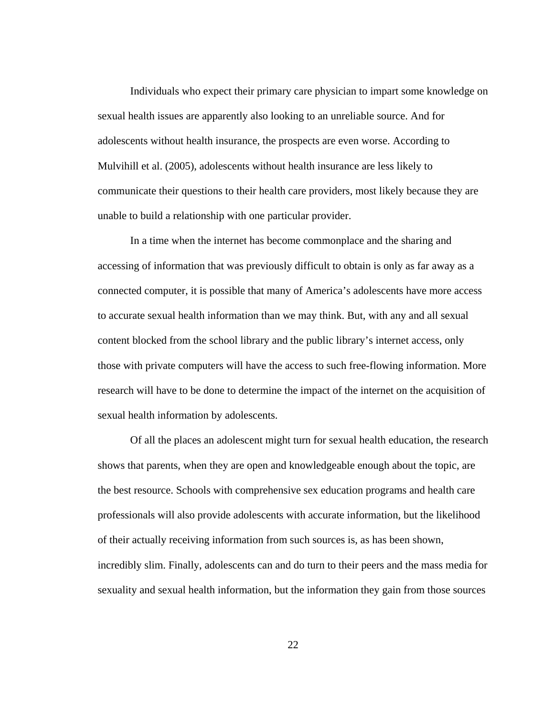Individuals who expect their primary care physician to impart some knowledge on sexual health issues are apparently also looking to an unreliable source. And for adolescents without health insurance, the prospects are even worse. According to Mulvihill et al. (2005), adolescents without health insurance are less likely to communicate their questions to their health care providers, most likely because they are unable to build a relationship with one particular provider.

 In a time when the internet has become commonplace and the sharing and accessing of information that was previously difficult to obtain is only as far away as a connected computer, it is possible that many of America's adolescents have more access to accurate sexual health information than we may think. But, with any and all sexual content blocked from the school library and the public library's internet access, only those with private computers will have the access to such free-flowing information. More research will have to be done to determine the impact of the internet on the acquisition of sexual health information by adolescents.

 Of all the places an adolescent might turn for sexual health education, the research shows that parents, when they are open and knowledgeable enough about the topic, are the best resource. Schools with comprehensive sex education programs and health care professionals will also provide adolescents with accurate information, but the likelihood of their actually receiving information from such sources is, as has been shown, incredibly slim. Finally, adolescents can and do turn to their peers and the mass media for sexuality and sexual health information, but the information they gain from those sources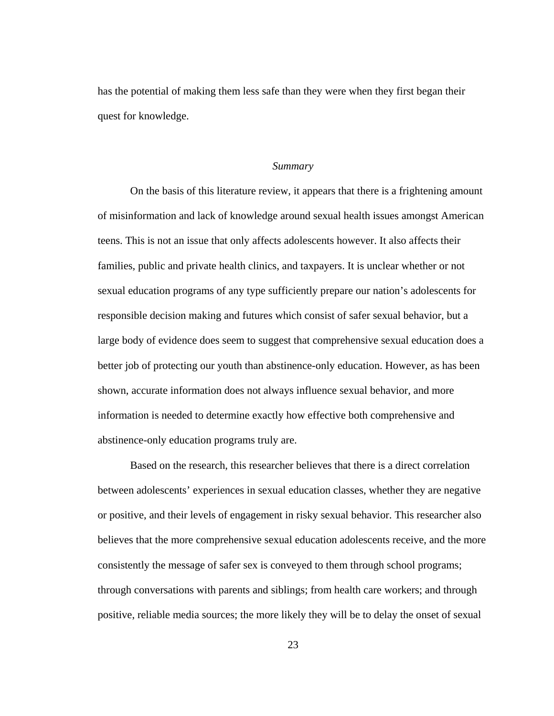has the potential of making them less safe than they were when they first began their quest for knowledge.

#### *Summary*

 On the basis of this literature review, it appears that there is a frightening amount of misinformation and lack of knowledge around sexual health issues amongst American teens. This is not an issue that only affects adolescents however. It also affects their families, public and private health clinics, and taxpayers. It is unclear whether or not sexual education programs of any type sufficiently prepare our nation's adolescents for responsible decision making and futures which consist of safer sexual behavior, but a large body of evidence does seem to suggest that comprehensive sexual education does a better job of protecting our youth than abstinence-only education. However, as has been shown, accurate information does not always influence sexual behavior, and more information is needed to determine exactly how effective both comprehensive and abstinence-only education programs truly are.

 Based on the research, this researcher believes that there is a direct correlation between adolescents' experiences in sexual education classes, whether they are negative or positive, and their levels of engagement in risky sexual behavior. This researcher also believes that the more comprehensive sexual education adolescents receive, and the more consistently the message of safer sex is conveyed to them through school programs; through conversations with parents and siblings; from health care workers; and through positive, reliable media sources; the more likely they will be to delay the onset of sexual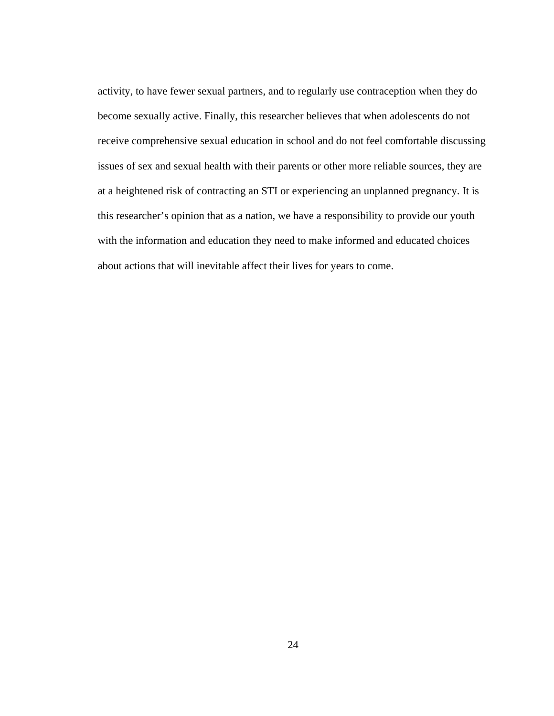activity, to have fewer sexual partners, and to regularly use contraception when they do become sexually active. Finally, this researcher believes that when adolescents do not receive comprehensive sexual education in school and do not feel comfortable discussing issues of sex and sexual health with their parents or other more reliable sources, they are at a heightened risk of contracting an STI or experiencing an unplanned pregnancy. It is this researcher's opinion that as a nation, we have a responsibility to provide our youth with the information and education they need to make informed and educated choices about actions that will inevitable affect their lives for years to come.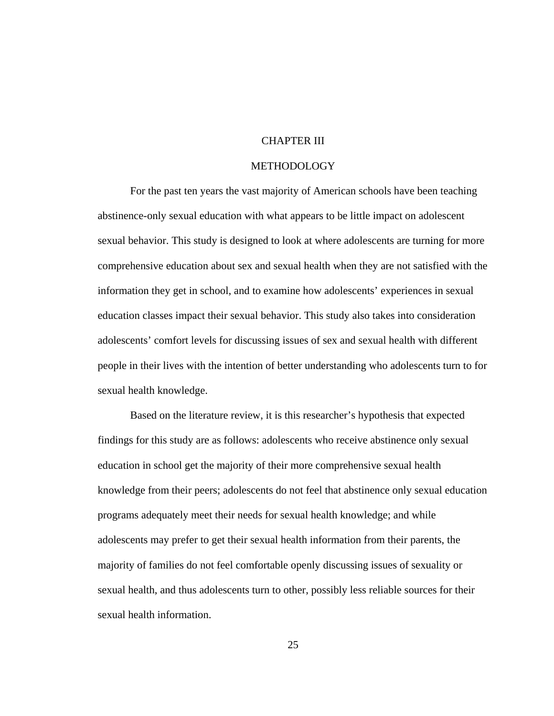#### CHAPTER III

#### METHODOLOGY

For the past ten years the vast majority of American schools have been teaching abstinence-only sexual education with what appears to be little impact on adolescent sexual behavior. This study is designed to look at where adolescents are turning for more comprehensive education about sex and sexual health when they are not satisfied with the information they get in school, and to examine how adolescents' experiences in sexual education classes impact their sexual behavior. This study also takes into consideration adolescents' comfort levels for discussing issues of sex and sexual health with different people in their lives with the intention of better understanding who adolescents turn to for sexual health knowledge.

Based on the literature review, it is this researcher's hypothesis that expected findings for this study are as follows: adolescents who receive abstinence only sexual education in school get the majority of their more comprehensive sexual health knowledge from their peers; adolescents do not feel that abstinence only sexual education programs adequately meet their needs for sexual health knowledge; and while adolescents may prefer to get their sexual health information from their parents, the majority of families do not feel comfortable openly discussing issues of sexuality or sexual health, and thus adolescents turn to other, possibly less reliable sources for their sexual health information.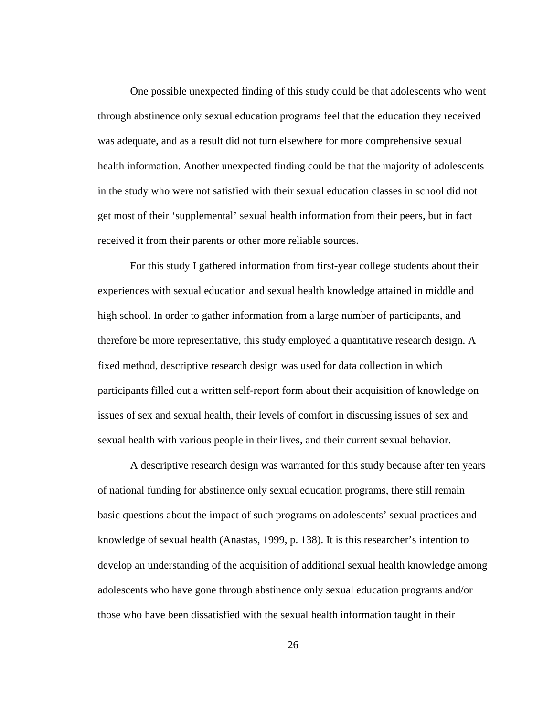One possible unexpected finding of this study could be that adolescents who went through abstinence only sexual education programs feel that the education they received was adequate, and as a result did not turn elsewhere for more comprehensive sexual health information. Another unexpected finding could be that the majority of adolescents in the study who were not satisfied with their sexual education classes in school did not get most of their 'supplemental' sexual health information from their peers, but in fact received it from their parents or other more reliable sources.

For this study I gathered information from first-year college students about their experiences with sexual education and sexual health knowledge attained in middle and high school. In order to gather information from a large number of participants, and therefore be more representative, this study employed a quantitative research design. A fixed method, descriptive research design was used for data collection in which participants filled out a written self-report form about their acquisition of knowledge on issues of sex and sexual health, their levels of comfort in discussing issues of sex and sexual health with various people in their lives, and their current sexual behavior.

 A descriptive research design was warranted for this study because after ten years of national funding for abstinence only sexual education programs, there still remain basic questions about the impact of such programs on adolescents' sexual practices and knowledge of sexual health (Anastas, 1999, p. 138). It is this researcher's intention to develop an understanding of the acquisition of additional sexual health knowledge among adolescents who have gone through abstinence only sexual education programs and/or those who have been dissatisfied with the sexual health information taught in their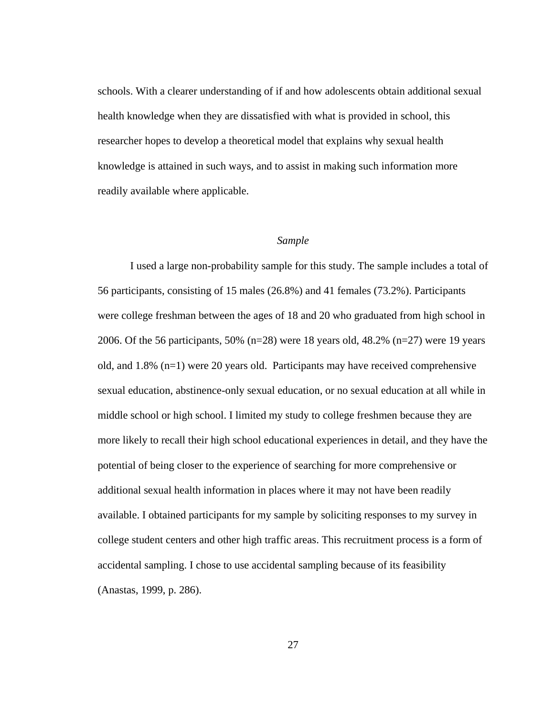schools. With a clearer understanding of if and how adolescents obtain additional sexual health knowledge when they are dissatisfied with what is provided in school, this researcher hopes to develop a theoretical model that explains why sexual health knowledge is attained in such ways, and to assist in making such information more readily available where applicable.

#### *Sample*

I used a large non-probability sample for this study. The sample includes a total of 56 participants, consisting of 15 males (26.8%) and 41 females (73.2%). Participants were college freshman between the ages of 18 and 20 who graduated from high school in 2006. Of the 56 participants, 50% (n=28) were 18 years old, 48.2% (n=27) were 19 years old, and 1.8% (n=1) were 20 years old. Participants may have received comprehensive sexual education, abstinence-only sexual education, or no sexual education at all while in middle school or high school. I limited my study to college freshmen because they are more likely to recall their high school educational experiences in detail, and they have the potential of being closer to the experience of searching for more comprehensive or additional sexual health information in places where it may not have been readily available. I obtained participants for my sample by soliciting responses to my survey in college student centers and other high traffic areas. This recruitment process is a form of accidental sampling. I chose to use accidental sampling because of its feasibility (Anastas, 1999, p. 286).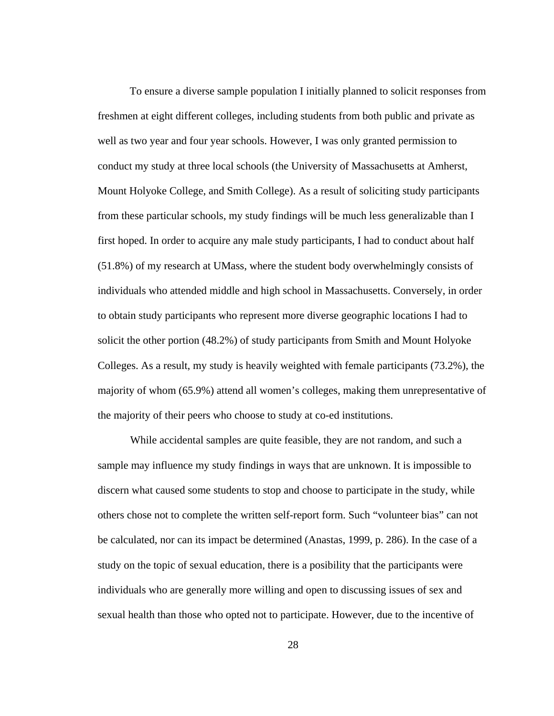To ensure a diverse sample population I initially planned to solicit responses from freshmen at eight different colleges, including students from both public and private as well as two year and four year schools. However, I was only granted permission to conduct my study at three local schools (the University of Massachusetts at Amherst, Mount Holyoke College, and Smith College). As a result of soliciting study participants from these particular schools, my study findings will be much less generalizable than I first hoped. In order to acquire any male study participants, I had to conduct about half (51.8%) of my research at UMass, where the student body overwhelmingly consists of individuals who attended middle and high school in Massachusetts. Conversely, in order to obtain study participants who represent more diverse geographic locations I had to solicit the other portion (48.2%) of study participants from Smith and Mount Holyoke Colleges. As a result, my study is heavily weighted with female participants (73.2%), the majority of whom (65.9%) attend all women's colleges, making them unrepresentative of the majority of their peers who choose to study at co-ed institutions.

 While accidental samples are quite feasible, they are not random, and such a sample may influence my study findings in ways that are unknown. It is impossible to discern what caused some students to stop and choose to participate in the study, while others chose not to complete the written self-report form. Such "volunteer bias" can not be calculated, nor can its impact be determined (Anastas, 1999, p. 286). In the case of a study on the topic of sexual education, there is a posibility that the participants were individuals who are generally more willing and open to discussing issues of sex and sexual health than those who opted not to participate. However, due to the incentive of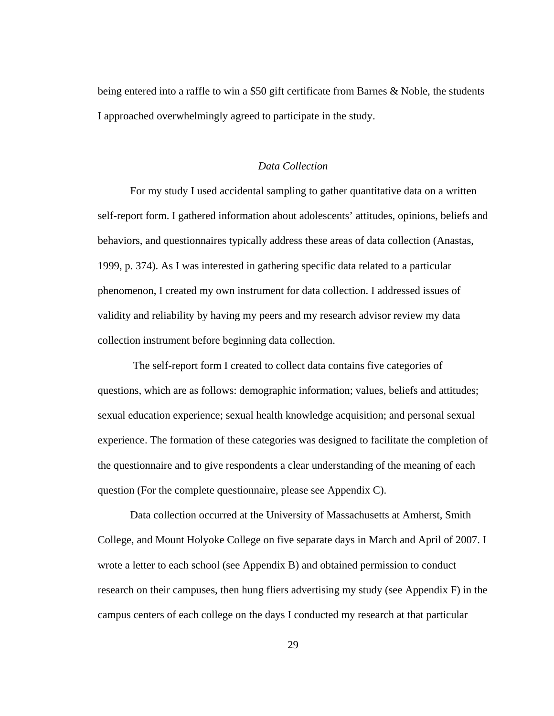being entered into a raffle to win a \$50 gift certificate from Barnes & Noble, the students I approached overwhelmingly agreed to participate in the study.

#### *Data Collection*

 For my study I used accidental sampling to gather quantitative data on a written self-report form. I gathered information about adolescents' attitudes, opinions, beliefs and behaviors, and questionnaires typically address these areas of data collection (Anastas, 1999, p. 374). As I was interested in gathering specific data related to a particular phenomenon, I created my own instrument for data collection. I addressed issues of validity and reliability by having my peers and my research advisor review my data collection instrument before beginning data collection.

 The self-report form I created to collect data contains five categories of questions, which are as follows: demographic information; values, beliefs and attitudes; sexual education experience; sexual health knowledge acquisition; and personal sexual experience. The formation of these categories was designed to facilitate the completion of the questionnaire and to give respondents a clear understanding of the meaning of each question (For the complete questionnaire, please see Appendix C).

 Data collection occurred at the University of Massachusetts at Amherst, Smith College, and Mount Holyoke College on five separate days in March and April of 2007. I wrote a letter to each school (see Appendix B) and obtained permission to conduct research on their campuses, then hung fliers advertising my study (see Appendix F) in the campus centers of each college on the days I conducted my research at that particular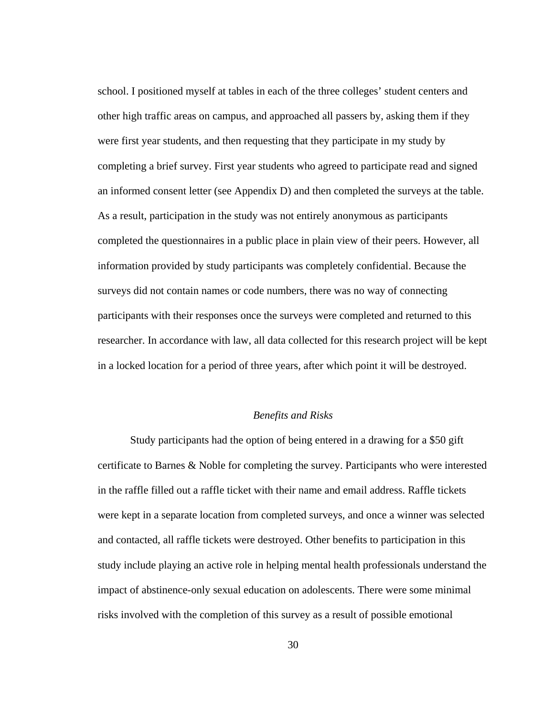school. I positioned myself at tables in each of the three colleges' student centers and other high traffic areas on campus, and approached all passers by, asking them if they were first year students, and then requesting that they participate in my study by completing a brief survey. First year students who agreed to participate read and signed an informed consent letter (see Appendix D) and then completed the surveys at the table. As a result, participation in the study was not entirely anonymous as participants completed the questionnaires in a public place in plain view of their peers. However, all information provided by study participants was completely confidential. Because the surveys did not contain names or code numbers, there was no way of connecting participants with their responses once the surveys were completed and returned to this researcher. In accordance with law, all data collected for this research project will be kept in a locked location for a period of three years, after which point it will be destroyed.

#### *Benefits and Risks*

Study participants had the option of being entered in a drawing for a \$50 gift certificate to Barnes & Noble for completing the survey. Participants who were interested in the raffle filled out a raffle ticket with their name and email address. Raffle tickets were kept in a separate location from completed surveys, and once a winner was selected and contacted, all raffle tickets were destroyed. Other benefits to participation in this study include playing an active role in helping mental health professionals understand the impact of abstinence-only sexual education on adolescents. There were some minimal risks involved with the completion of this survey as a result of possible emotional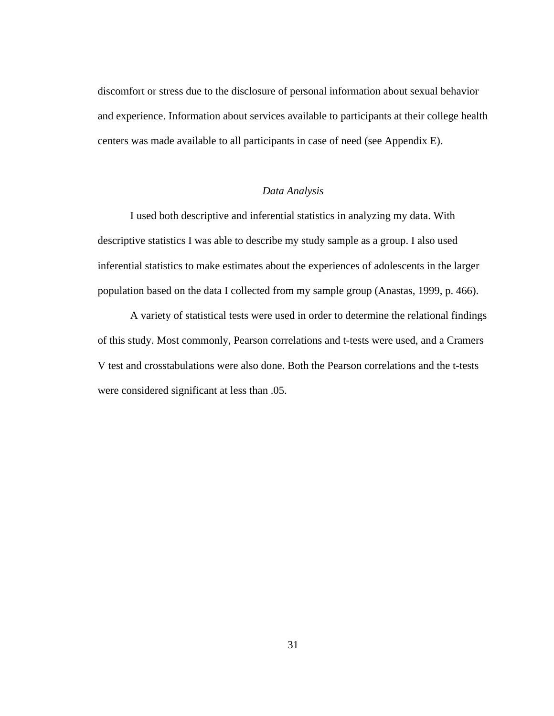discomfort or stress due to the disclosure of personal information about sexual behavior and experience. Information about services available to participants at their college health centers was made available to all participants in case of need (see Appendix E).

#### *Data Analysis*

 I used both descriptive and inferential statistics in analyzing my data. With descriptive statistics I was able to describe my study sample as a group. I also used inferential statistics to make estimates about the experiences of adolescents in the larger population based on the data I collected from my sample group (Anastas, 1999, p. 466).

 A variety of statistical tests were used in order to determine the relational findings of this study. Most commonly, Pearson correlations and t-tests were used, and a Cramers V test and crosstabulations were also done. Both the Pearson correlations and the t-tests were considered significant at less than .05.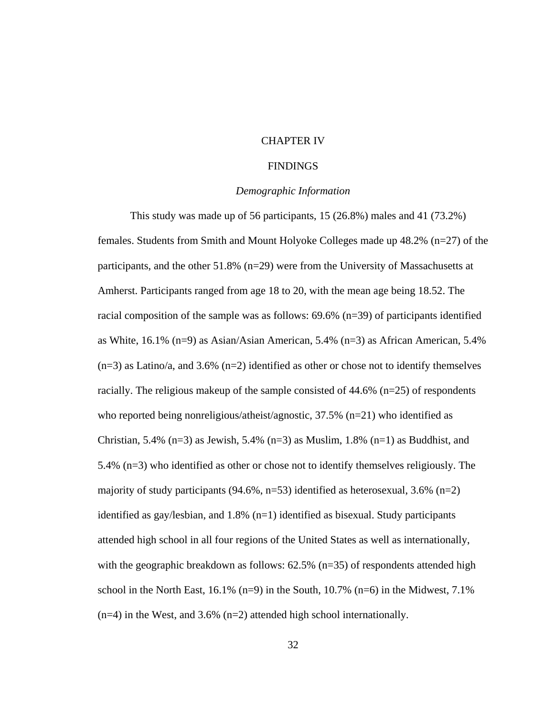# CHAPTER IV

# FINDINGS

# *Demographic Information*

This study was made up of 56 participants, 15 (26.8%) males and 41 (73.2%) females. Students from Smith and Mount Holyoke Colleges made up 48.2% (n=27) of the participants, and the other 51.8% (n=29) were from the University of Massachusetts at Amherst. Participants ranged from age 18 to 20, with the mean age being 18.52. The racial composition of the sample was as follows: 69.6% (n=39) of participants identified as White, 16.1% (n=9) as Asian/Asian American, 5.4% (n=3) as African American, 5.4%  $(n=3)$  as Latino/a, and 3.6%  $(n=2)$  identified as other or chose not to identify themselves racially. The religious makeup of the sample consisted of 44.6% (n=25) of respondents who reported being nonreligious/atheist/agnostic,  $37.5\%$  (n=21) who identified as Christian, 5.4% (n=3) as Jewish, 5.4% (n=3) as Muslim,  $1.8\%$  (n=1) as Buddhist, and 5.4% (n=3) who identified as other or chose not to identify themselves religiously. The majority of study participants  $(94.6\%, n=53)$  identified as heterosexual, 3.6%  $(n=2)$ identified as gay/lesbian, and  $1.8\%$  (n=1) identified as bisexual. Study participants attended high school in all four regions of the United States as well as internationally, with the geographic breakdown as follows:  $62.5\%$  (n=35) of respondents attended high school in the North East,  $16.1\%$  (n=9) in the South,  $10.7\%$  (n=6) in the Midwest,  $7.1\%$  $(n=4)$  in the West, and 3.6%  $(n=2)$  attended high school internationally.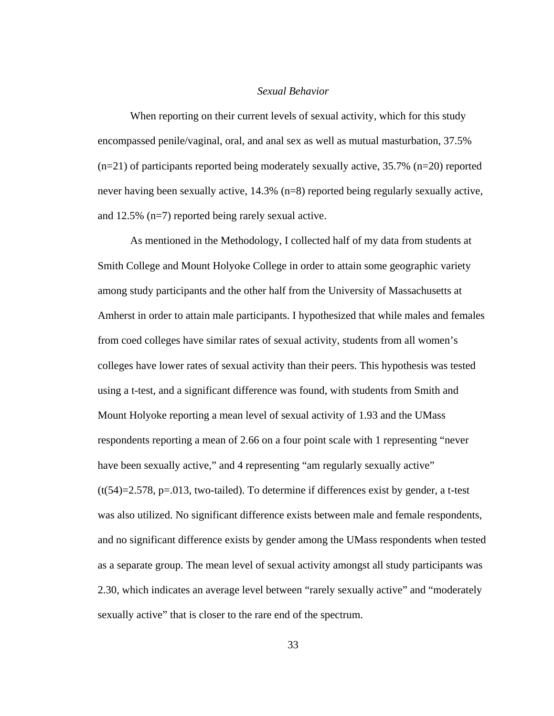# *Sexual Behavior*

 When reporting on their current levels of sexual activity, which for this study encompassed penile/vaginal, oral, and anal sex as well as mutual masturbation, 37.5%  $(n=21)$  of participants reported being moderately sexually active, 35.7%  $(n=20)$  reported never having been sexually active, 14.3% (n=8) reported being regularly sexually active, and 12.5% (n=7) reported being rarely sexual active.

 As mentioned in the Methodology, I collected half of my data from students at Smith College and Mount Holyoke College in order to attain some geographic variety among study participants and the other half from the University of Massachusetts at Amherst in order to attain male participants. I hypothesized that while males and females from coed colleges have similar rates of sexual activity, students from all women's colleges have lower rates of sexual activity than their peers. This hypothesis was tested using a t-test, and a significant difference was found, with students from Smith and Mount Holyoke reporting a mean level of sexual activity of 1.93 and the UMass respondents reporting a mean of 2.66 on a four point scale with 1 representing "never have been sexually active," and 4 representing "am regularly sexually active"  $(t(54)=2.578, p=.013$ , two-tailed). To determine if differences exist by gender, a t-test was also utilized. No significant difference exists between male and female respondents, and no significant difference exists by gender among the UMass respondents when tested as a separate group. The mean level of sexual activity amongst all study participants was 2.30, which indicates an average level between "rarely sexually active" and "moderately sexually active" that is closer to the rare end of the spectrum.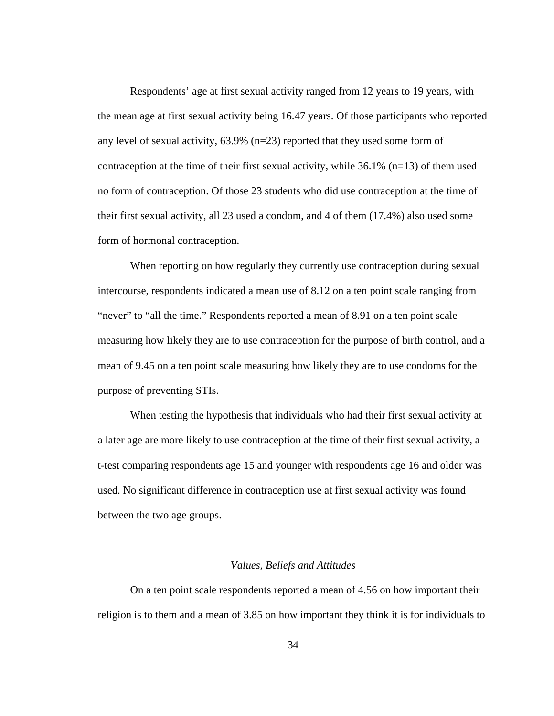Respondents' age at first sexual activity ranged from 12 years to 19 years, with the mean age at first sexual activity being 16.47 years. Of those participants who reported any level of sexual activity, 63.9% (n=23) reported that they used some form of contraception at the time of their first sexual activity, while  $36.1\%$  (n=13) of them used no form of contraception. Of those 23 students who did use contraception at the time of their first sexual activity, all 23 used a condom, and 4 of them (17.4%) also used some form of hormonal contraception.

 When reporting on how regularly they currently use contraception during sexual intercourse, respondents indicated a mean use of 8.12 on a ten point scale ranging from "never" to "all the time." Respondents reported a mean of 8.91 on a ten point scale measuring how likely they are to use contraception for the purpose of birth control, and a mean of 9.45 on a ten point scale measuring how likely they are to use condoms for the purpose of preventing STIs.

When testing the hypothesis that individuals who had their first sexual activity at a later age are more likely to use contraception at the time of their first sexual activity, a t-test comparing respondents age 15 and younger with respondents age 16 and older was used. No significant difference in contraception use at first sexual activity was found between the two age groups.

### *Values, Beliefs and Attitudes*

 On a ten point scale respondents reported a mean of 4.56 on how important their religion is to them and a mean of 3.85 on how important they think it is for individuals to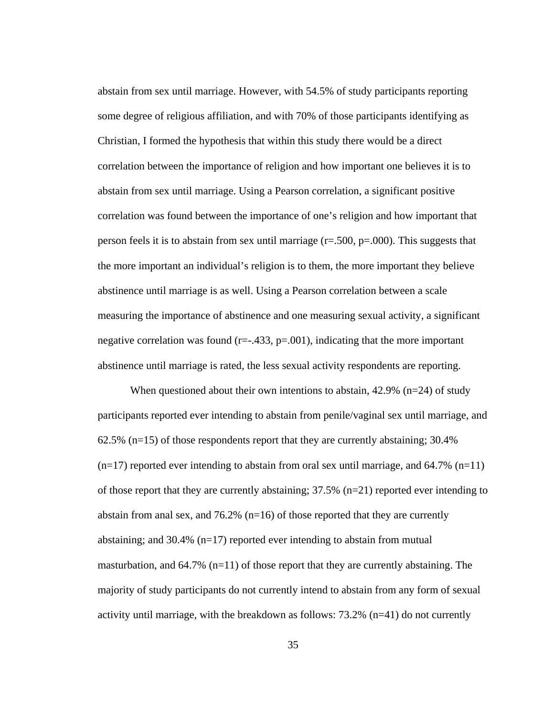abstain from sex until marriage. However, with 54.5% of study participants reporting some degree of religious affiliation, and with 70% of those participants identifying as Christian, I formed the hypothesis that within this study there would be a direct correlation between the importance of religion and how important one believes it is to abstain from sex until marriage. Using a Pearson correlation, a significant positive correlation was found between the importance of one's religion and how important that person feels it is to abstain from sex until marriage ( $r = .500$ ,  $p = .000$ ). This suggests that the more important an individual's religion is to them, the more important they believe abstinence until marriage is as well. Using a Pearson correlation between a scale measuring the importance of abstinence and one measuring sexual activity, a significant negative correlation was found  $(r=-.433, p=.001)$ , indicating that the more important abstinence until marriage is rated, the less sexual activity respondents are reporting.

When questioned about their own intentions to abstain,  $42.9\%$  (n=24) of study participants reported ever intending to abstain from penile/vaginal sex until marriage, and  $62.5\%$  (n=15) of those respondents report that they are currently abstaining; 30.4%  $(n=17)$  reported ever intending to abstain from oral sex until marriage, and 64.7%  $(n=11)$ of those report that they are currently abstaining;  $37.5\%$  (n=21) reported ever intending to abstain from anal sex, and 76.2%  $(n=16)$  of those reported that they are currently abstaining; and 30.4% (n=17) reported ever intending to abstain from mutual masturbation, and  $64.7\%$  (n=11) of those report that they are currently abstaining. The majority of study participants do not currently intend to abstain from any form of sexual activity until marriage, with the breakdown as follows: 73.2% (n=41) do not currently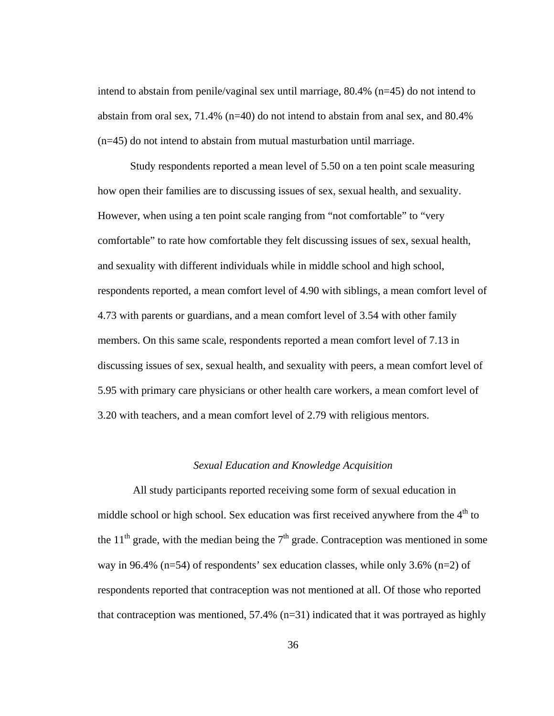intend to abstain from penile/vaginal sex until marriage, 80.4% (n=45) do not intend to abstain from oral sex, 71.4% (n=40) do not intend to abstain from anal sex, and 80.4% (n=45) do not intend to abstain from mutual masturbation until marriage.

Study respondents reported a mean level of 5.50 on a ten point scale measuring how open their families are to discussing issues of sex, sexual health, and sexuality. However, when using a ten point scale ranging from "not comfortable" to "very comfortable" to rate how comfortable they felt discussing issues of sex, sexual health, and sexuality with different individuals while in middle school and high school, respondents reported, a mean comfort level of 4.90 with siblings, a mean comfort level of 4.73 with parents or guardians, and a mean comfort level of 3.54 with other family members. On this same scale, respondents reported a mean comfort level of 7.13 in discussing issues of sex, sexual health, and sexuality with peers, a mean comfort level of 5.95 with primary care physicians or other health care workers, a mean comfort level of 3.20 with teachers, and a mean comfort level of 2.79 with religious mentors.

# *Sexual Education and Knowledge Acquisition*

 All study participants reported receiving some form of sexual education in middle school or high school. Sex education was first received anywhere from the  $4<sup>th</sup>$  to the 11<sup>th</sup> grade, with the median being the  $7<sup>th</sup>$  grade. Contraception was mentioned in some way in 96.4% (n=54) of respondents' sex education classes, while only 3.6% (n=2) of respondents reported that contraception was not mentioned at all. Of those who reported that contraception was mentioned,  $57.4\%$  (n=31) indicated that it was portrayed as highly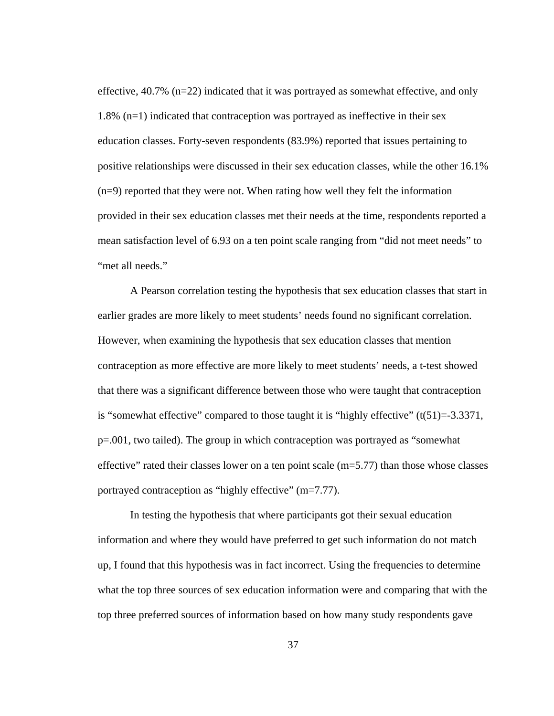effective, 40.7% (n=22) indicated that it was portrayed as somewhat effective, and only 1.8% (n=1) indicated that contraception was portrayed as ineffective in their sex education classes. Forty-seven respondents (83.9%) reported that issues pertaining to positive relationships were discussed in their sex education classes, while the other 16.1%  $(n=9)$  reported that they were not. When rating how well they felt the information provided in their sex education classes met their needs at the time, respondents reported a mean satisfaction level of 6.93 on a ten point scale ranging from "did not meet needs" to "met all needs."

A Pearson correlation testing the hypothesis that sex education classes that start in earlier grades are more likely to meet students' needs found no significant correlation. However, when examining the hypothesis that sex education classes that mention contraception as more effective are more likely to meet students' needs, a t-test showed that there was a significant difference between those who were taught that contraception is "somewhat effective" compared to those taught it is "highly effective"  $(t(51)=3.3371,$ p=.001, two tailed). The group in which contraception was portrayed as "somewhat effective" rated their classes lower on a ten point scale (m=5.77) than those whose classes portrayed contraception as "highly effective" (m=7.77).

In testing the hypothesis that where participants got their sexual education information and where they would have preferred to get such information do not match up, I found that this hypothesis was in fact incorrect. Using the frequencies to determine what the top three sources of sex education information were and comparing that with the top three preferred sources of information based on how many study respondents gave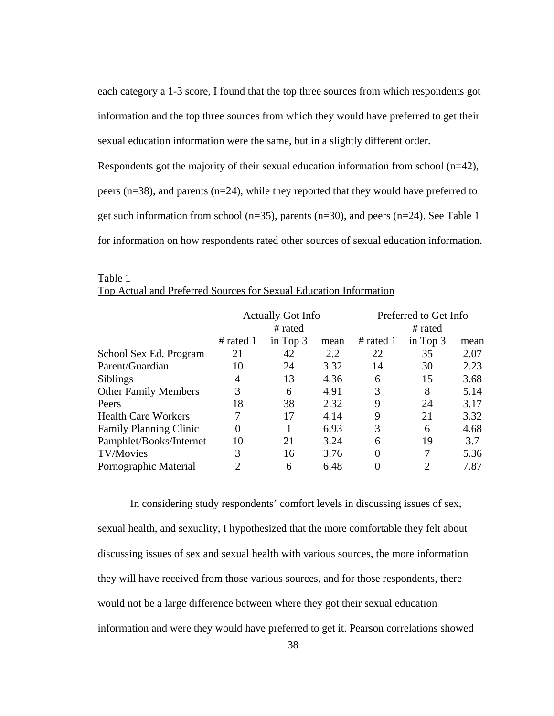each category a 1-3 score, I found that the top three sources from which respondents got information and the top three sources from which they would have preferred to get their sexual education information were the same, but in a slightly different order.

Respondents got the majority of their sexual education information from school (n=42), peers (n=38), and parents (n=24), while they reported that they would have preferred to get such information from school ( $n=35$ ), parents ( $n=30$ ), and peers ( $n=24$ ). See Table 1 for information on how respondents rated other sources of sexual education information.

|                               |                | <b>Actually Got Info</b> |      | Preferred to Get Info |            |      |  |  |  |
|-------------------------------|----------------|--------------------------|------|-----------------------|------------|------|--|--|--|
|                               |                | # rated                  |      | # rated               |            |      |  |  |  |
|                               | # rated $1$    | in Top 3                 | mean | # rated $1$           | in Top $3$ | mean |  |  |  |
| School Sex Ed. Program        | 21             | 42                       | 2.2  | 22                    | 35         | 2.07 |  |  |  |
| Parent/Guardian               | 10             | 24                       | 3.32 | 14                    | 30         | 2.23 |  |  |  |
| <b>Siblings</b>               | 4              | 13                       | 4.36 | 6                     | 15         | 3.68 |  |  |  |
| <b>Other Family Members</b>   | 3              | 6                        | 4.91 | 3                     | 8          | 5.14 |  |  |  |
| Peers                         | 18             | 38                       | 2.32 | 9                     | 24         | 3.17 |  |  |  |
| <b>Health Care Workers</b>    | 7              | 17                       | 4.14 | 9                     | 21         | 3.32 |  |  |  |
| <b>Family Planning Clinic</b> | $\overline{0}$ |                          | 6.93 | 3                     | 6          | 4.68 |  |  |  |
| Pamphlet/Books/Internet       | 10             | 21                       | 3.24 | 6                     | 19         | 3.7  |  |  |  |
| <b>TV/Movies</b>              | 3              | 16                       | 3.76 | $\theta$              | 7          | 5.36 |  |  |  |
| Pornographic Material         | ာ              | 6                        | 6.48 |                       | 2          | 7.87 |  |  |  |

| Table 1                                                           |  |
|-------------------------------------------------------------------|--|
| Top Actual and Preferred Sources for Sexual Education Information |  |

In considering study respondents' comfort levels in discussing issues of sex, sexual health, and sexuality, I hypothesized that the more comfortable they felt about discussing issues of sex and sexual health with various sources, the more information they will have received from those various sources, and for those respondents, there would not be a large difference between where they got their sexual education information and were they would have preferred to get it. Pearson correlations showed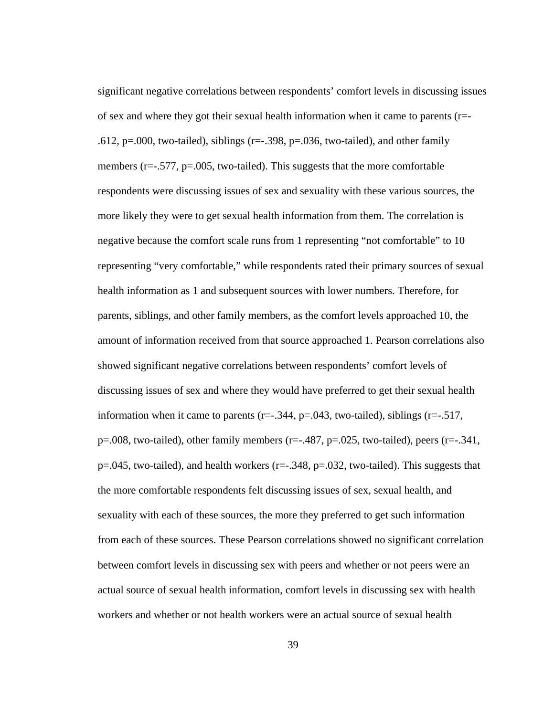significant negative correlations between respondents' comfort levels in discussing issues of sex and where they got their sexual health information when it came to parents (r=- .612,  $p=0.00$ , two-tailed), siblings ( $r=-1.398$ ,  $p=.036$ , two-tailed), and other family members ( $r=-.577$ ,  $p=.005$ , two-tailed). This suggests that the more comfortable respondents were discussing issues of sex and sexuality with these various sources, the more likely they were to get sexual health information from them. The correlation is negative because the comfort scale runs from 1 representing "not comfortable" to 10 representing "very comfortable," while respondents rated their primary sources of sexual health information as 1 and subsequent sources with lower numbers. Therefore, for parents, siblings, and other family members, as the comfort levels approached 10, the amount of information received from that source approached 1. Pearson correlations also showed significant negative correlations between respondents' comfort levels of discussing issues of sex and where they would have preferred to get their sexual health information when it came to parents  $(r=-.344, p=0.043,$  two-tailed), siblings  $(r=-.517,$  $p=0.008$ , two-tailed), other family members (r= $-0.487$ , p= $0.025$ , two-tailed), peers (r= $-0.341$ ,  $p=0.045$ , two-tailed), and health workers ( $r=-0.348$ ,  $p=.032$ , two-tailed). This suggests that the more comfortable respondents felt discussing issues of sex, sexual health, and sexuality with each of these sources, the more they preferred to get such information from each of these sources. These Pearson correlations showed no significant correlation between comfort levels in discussing sex with peers and whether or not peers were an actual source of sexual health information, comfort levels in discussing sex with health workers and whether or not health workers were an actual source of sexual health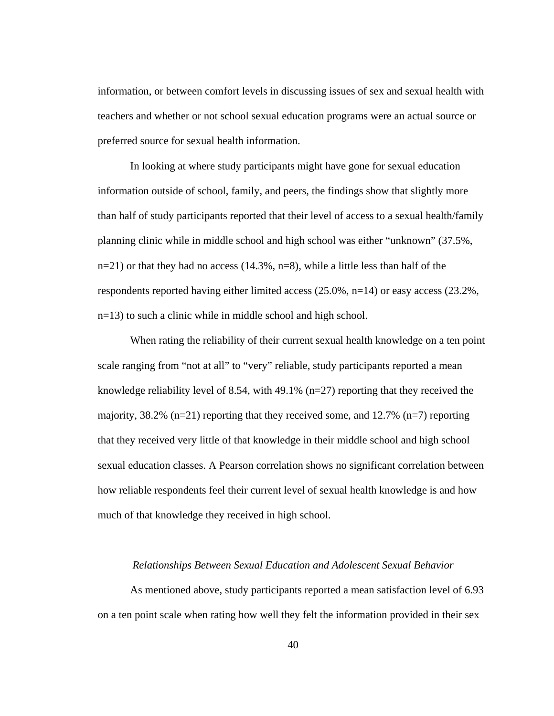information, or between comfort levels in discussing issues of sex and sexual health with teachers and whether or not school sexual education programs were an actual source or preferred source for sexual health information.

 In looking at where study participants might have gone for sexual education information outside of school, family, and peers, the findings show that slightly more than half of study participants reported that their level of access to a sexual health/family planning clinic while in middle school and high school was either "unknown" (37.5%,  $n=21$ ) or that they had no access (14.3%,  $n=8$ ), while a little less than half of the respondents reported having either limited access  $(25.0\%, n=14)$  or easy access  $(23.2\%,$ n=13) to such a clinic while in middle school and high school.

When rating the reliability of their current sexual health knowledge on a ten point scale ranging from "not at all" to "very" reliable, study participants reported a mean knowledge reliability level of 8.54, with 49.1% (n=27) reporting that they received the majority,  $38.2\%$  (n=21) reporting that they received some, and 12.7% (n=7) reporting that they received very little of that knowledge in their middle school and high school sexual education classes. A Pearson correlation shows no significant correlation between how reliable respondents feel their current level of sexual health knowledge is and how much of that knowledge they received in high school.

# *Relationships Between Sexual Education and Adolescent Sexual Behavior*

 As mentioned above, study participants reported a mean satisfaction level of 6.93 on a ten point scale when rating how well they felt the information provided in their sex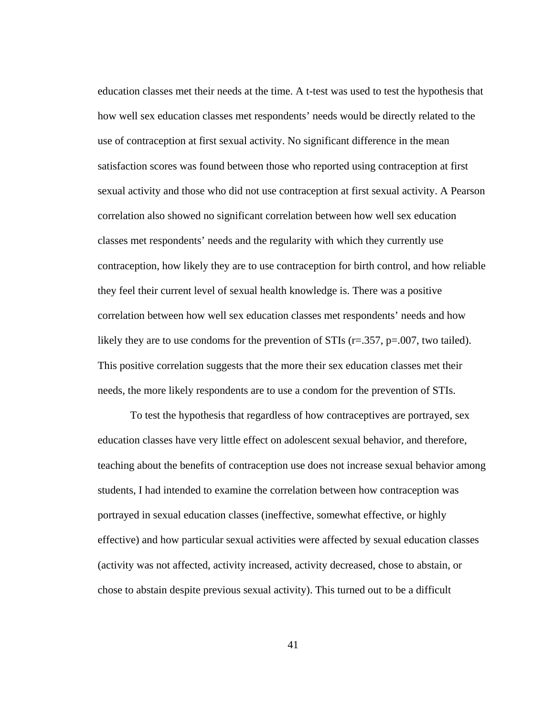education classes met their needs at the time. A t-test was used to test the hypothesis that how well sex education classes met respondents' needs would be directly related to the use of contraception at first sexual activity. No significant difference in the mean satisfaction scores was found between those who reported using contraception at first sexual activity and those who did not use contraception at first sexual activity. A Pearson correlation also showed no significant correlation between how well sex education classes met respondents' needs and the regularity with which they currently use contraception, how likely they are to use contraception for birth control, and how reliable they feel their current level of sexual health knowledge is. There was a positive correlation between how well sex education classes met respondents' needs and how likely they are to use condoms for the prevention of STIs  $(r=.357, p=.007,$  two tailed). This positive correlation suggests that the more their sex education classes met their needs, the more likely respondents are to use a condom for the prevention of STIs.

To test the hypothesis that regardless of how contraceptives are portrayed, sex education classes have very little effect on adolescent sexual behavior, and therefore, teaching about the benefits of contraception use does not increase sexual behavior among students, I had intended to examine the correlation between how contraception was portrayed in sexual education classes (ineffective, somewhat effective, or highly effective) and how particular sexual activities were affected by sexual education classes (activity was not affected, activity increased, activity decreased, chose to abstain, or chose to abstain despite previous sexual activity). This turned out to be a difficult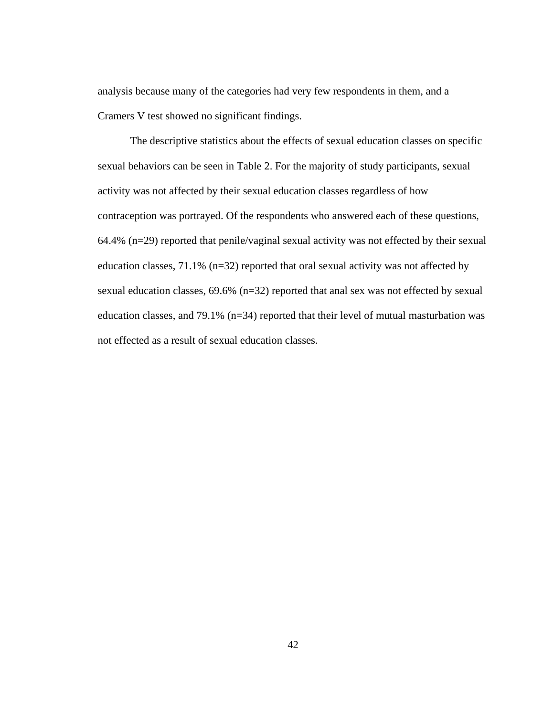analysis because many of the categories had very few respondents in them, and a Cramers V test showed no significant findings.

The descriptive statistics about the effects of sexual education classes on specific sexual behaviors can be seen in Table 2. For the majority of study participants, sexual activity was not affected by their sexual education classes regardless of how contraception was portrayed. Of the respondents who answered each of these questions, 64.4% (n=29) reported that penile/vaginal sexual activity was not effected by their sexual education classes, 71.1% (n=32) reported that oral sexual activity was not affected by sexual education classes, 69.6% (n=32) reported that anal sex was not effected by sexual education classes, and 79.1% (n=34) reported that their level of mutual masturbation was not effected as a result of sexual education classes.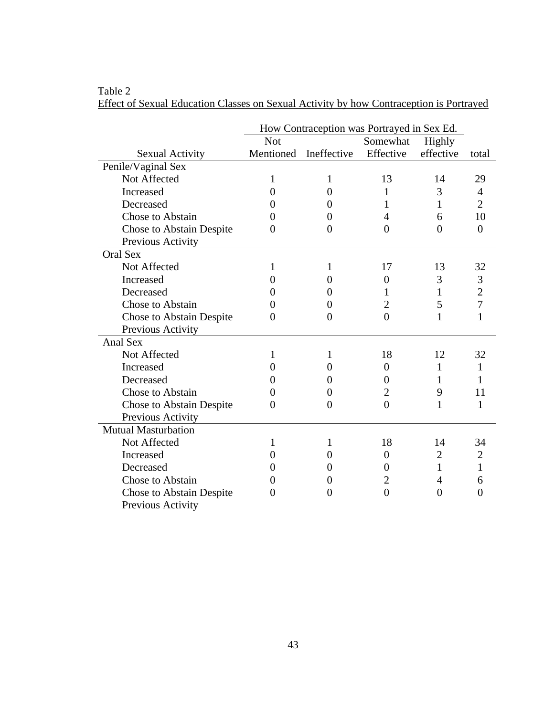|                                 | How Contraception was Portrayed in Sex Ed. |              |                  |                |                |  |  |  |  |
|---------------------------------|--------------------------------------------|--------------|------------------|----------------|----------------|--|--|--|--|
|                                 | <b>Not</b>                                 |              | Somewhat         | Highly         |                |  |  |  |  |
| <b>Sexual Activity</b>          | Mentioned                                  | Ineffective  | Effective        | effective      | total          |  |  |  |  |
| Penile/Vaginal Sex              |                                            |              |                  |                |                |  |  |  |  |
| Not Affected                    | 1                                          | 1            | 13               | 14             | 29             |  |  |  |  |
| Increased                       | 0                                          | $\Omega$     | 1                | 3              | $\overline{4}$ |  |  |  |  |
| Decreased                       | 0                                          | 0            | 1                | 1              | $\overline{2}$ |  |  |  |  |
| Chose to Abstain                | 0                                          | $\theta$     | 4                | 6              | 10             |  |  |  |  |
| <b>Chose to Abstain Despite</b> | 0                                          | 0            | $\theta$         | $\theta$       | $\overline{0}$ |  |  |  |  |
| Previous Activity               |                                            |              |                  |                |                |  |  |  |  |
| Oral Sex                        |                                            |              |                  |                |                |  |  |  |  |
| Not Affected                    | 1                                          | 1            | 17               | 13             | 32             |  |  |  |  |
| Increased                       | 0                                          | 0            | 0                | 3              | 3              |  |  |  |  |
| Decreased                       | 0                                          | $\theta$     | 1                | 1              | $\overline{2}$ |  |  |  |  |
| Chose to Abstain                | 0                                          | $\theta$     | 2                | 5              | $\overline{7}$ |  |  |  |  |
| Chose to Abstain Despite        | 0                                          | 0            | $\overline{0}$   | $\mathbf{1}$   | $\mathbf{1}$   |  |  |  |  |
| Previous Activity               |                                            |              |                  |                |                |  |  |  |  |
| <b>Anal Sex</b>                 |                                            |              |                  |                |                |  |  |  |  |
| Not Affected                    | 1                                          | 1            | 18               | 12             | 32             |  |  |  |  |
| Increased                       | 0                                          | $_{0}$       | $\boldsymbol{0}$ | 1              | 1              |  |  |  |  |
| Decreased                       | 0                                          | $\Omega$     | 0                | 1              | 1              |  |  |  |  |
| Chose to Abstain                | 0                                          | 0            | $\overline{2}$   | 9              | 11             |  |  |  |  |
| Chose to Abstain Despite        | 0                                          | 0            | $\overline{0}$   | $\mathbf{1}$   | $\mathbf{1}$   |  |  |  |  |
| Previous Activity               |                                            |              |                  |                |                |  |  |  |  |
| <b>Mutual Masturbation</b>      |                                            |              |                  |                |                |  |  |  |  |
| Not Affected                    | 1                                          | 1            | 18               | 14             | 34             |  |  |  |  |
| Increased                       | 0                                          | 0            | 0                | $\overline{2}$ | $\mathfrak{2}$ |  |  |  |  |
| Decreased                       | 0                                          | $\mathbf{0}$ | 0                | 1              | $\mathbf{1}$   |  |  |  |  |
| Chose to Abstain                | 0                                          | 0            | $\overline{2}$   | $\overline{4}$ | 6              |  |  |  |  |
| Chose to Abstain Despite        | $\theta$                                   | 0            | $\overline{0}$   | $\overline{0}$ | $\overline{0}$ |  |  |  |  |
| Previous Activity               |                                            |              |                  |                |                |  |  |  |  |

Effect of Sexual Education Classes on Sexual Activity by how Contraception is Portrayed

Table 2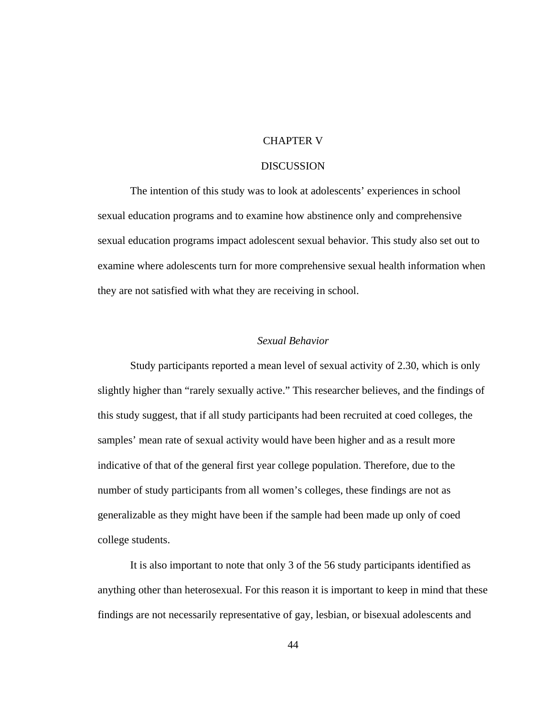# CHAPTER V

# **DISCUSSION**

 The intention of this study was to look at adolescents' experiences in school sexual education programs and to examine how abstinence only and comprehensive sexual education programs impact adolescent sexual behavior. This study also set out to examine where adolescents turn for more comprehensive sexual health information when they are not satisfied with what they are receiving in school.

# *Sexual Behavior*

 Study participants reported a mean level of sexual activity of 2.30, which is only slightly higher than "rarely sexually active." This researcher believes, and the findings of this study suggest, that if all study participants had been recruited at coed colleges, the samples' mean rate of sexual activity would have been higher and as a result more indicative of that of the general first year college population. Therefore, due to the number of study participants from all women's colleges, these findings are not as generalizable as they might have been if the sample had been made up only of coed college students.

 It is also important to note that only 3 of the 56 study participants identified as anything other than heterosexual. For this reason it is important to keep in mind that these findings are not necessarily representative of gay, lesbian, or bisexual adolescents and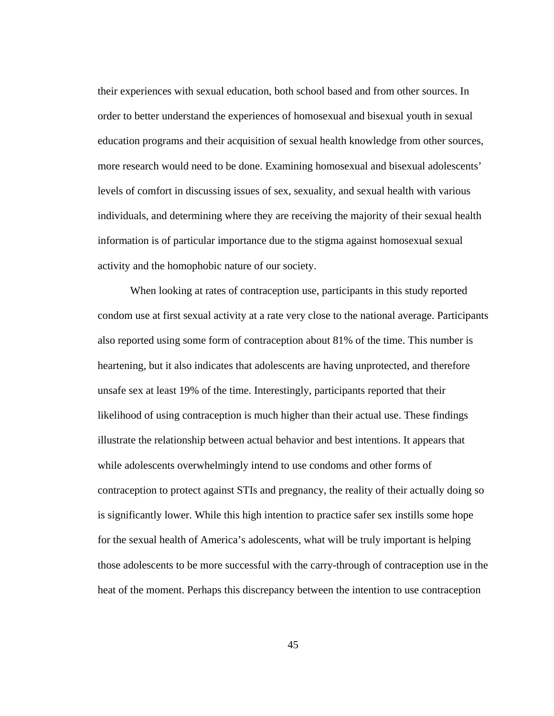their experiences with sexual education, both school based and from other sources. In order to better understand the experiences of homosexual and bisexual youth in sexual education programs and their acquisition of sexual health knowledge from other sources, more research would need to be done. Examining homosexual and bisexual adolescents' levels of comfort in discussing issues of sex, sexuality, and sexual health with various individuals, and determining where they are receiving the majority of their sexual health information is of particular importance due to the stigma against homosexual sexual activity and the homophobic nature of our society.

 When looking at rates of contraception use, participants in this study reported condom use at first sexual activity at a rate very close to the national average. Participants also reported using some form of contraception about 81% of the time. This number is heartening, but it also indicates that adolescents are having unprotected, and therefore unsafe sex at least 19% of the time. Interestingly, participants reported that their likelihood of using contraception is much higher than their actual use. These findings illustrate the relationship between actual behavior and best intentions. It appears that while adolescents overwhelmingly intend to use condoms and other forms of contraception to protect against STIs and pregnancy, the reality of their actually doing so is significantly lower. While this high intention to practice safer sex instills some hope for the sexual health of America's adolescents, what will be truly important is helping those adolescents to be more successful with the carry-through of contraception use in the heat of the moment. Perhaps this discrepancy between the intention to use contraception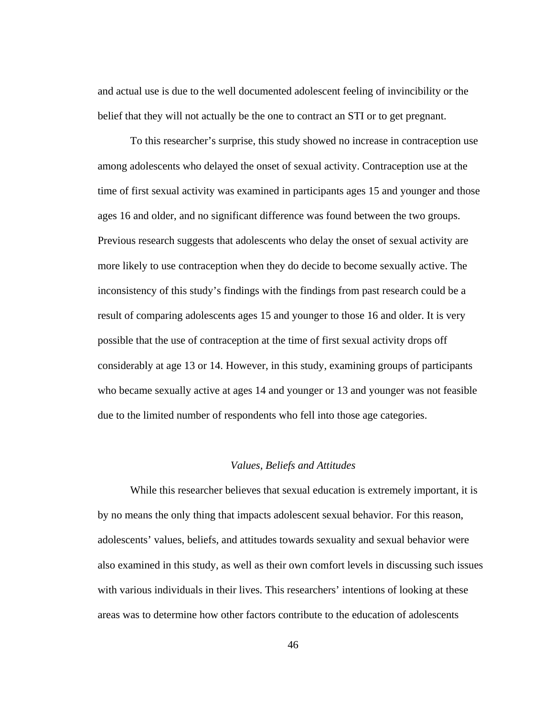and actual use is due to the well documented adolescent feeling of invincibility or the belief that they will not actually be the one to contract an STI or to get pregnant.

 To this researcher's surprise, this study showed no increase in contraception use among adolescents who delayed the onset of sexual activity. Contraception use at the time of first sexual activity was examined in participants ages 15 and younger and those ages 16 and older, and no significant difference was found between the two groups. Previous research suggests that adolescents who delay the onset of sexual activity are more likely to use contraception when they do decide to become sexually active. The inconsistency of this study's findings with the findings from past research could be a result of comparing adolescents ages 15 and younger to those 16 and older. It is very possible that the use of contraception at the time of first sexual activity drops off considerably at age 13 or 14. However, in this study, examining groups of participants who became sexually active at ages 14 and younger or 13 and younger was not feasible due to the limited number of respondents who fell into those age categories.

### *Values, Beliefs and Attitudes*

 While this researcher believes that sexual education is extremely important, it is by no means the only thing that impacts adolescent sexual behavior. For this reason, adolescents' values, beliefs, and attitudes towards sexuality and sexual behavior were also examined in this study, as well as their own comfort levels in discussing such issues with various individuals in their lives. This researchers' intentions of looking at these areas was to determine how other factors contribute to the education of adolescents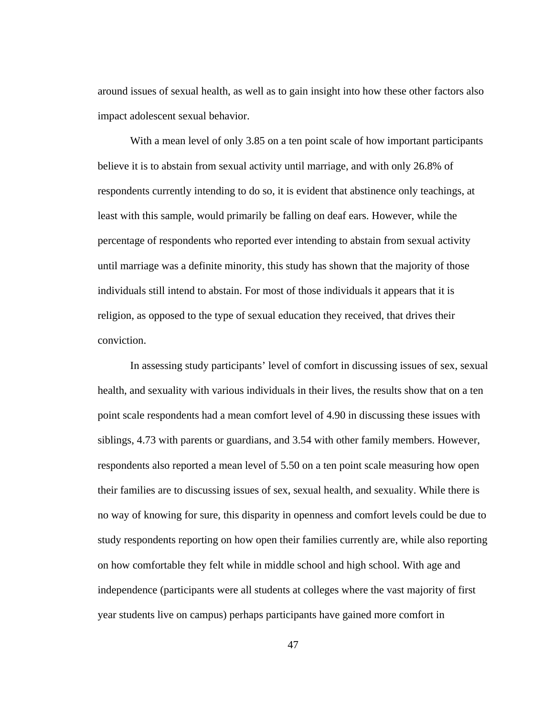around issues of sexual health, as well as to gain insight into how these other factors also impact adolescent sexual behavior.

With a mean level of only 3.85 on a ten point scale of how important participants believe it is to abstain from sexual activity until marriage, and with only 26.8% of respondents currently intending to do so, it is evident that abstinence only teachings, at least with this sample, would primarily be falling on deaf ears. However, while the percentage of respondents who reported ever intending to abstain from sexual activity until marriage was a definite minority, this study has shown that the majority of those individuals still intend to abstain. For most of those individuals it appears that it is religion, as opposed to the type of sexual education they received, that drives their conviction.

 In assessing study participants' level of comfort in discussing issues of sex, sexual health, and sexuality with various individuals in their lives, the results show that on a ten point scale respondents had a mean comfort level of 4.90 in discussing these issues with siblings, 4.73 with parents or guardians, and 3.54 with other family members. However, respondents also reported a mean level of 5.50 on a ten point scale measuring how open their families are to discussing issues of sex, sexual health, and sexuality. While there is no way of knowing for sure, this disparity in openness and comfort levels could be due to study respondents reporting on how open their families currently are, while also reporting on how comfortable they felt while in middle school and high school. With age and independence (participants were all students at colleges where the vast majority of first year students live on campus) perhaps participants have gained more comfort in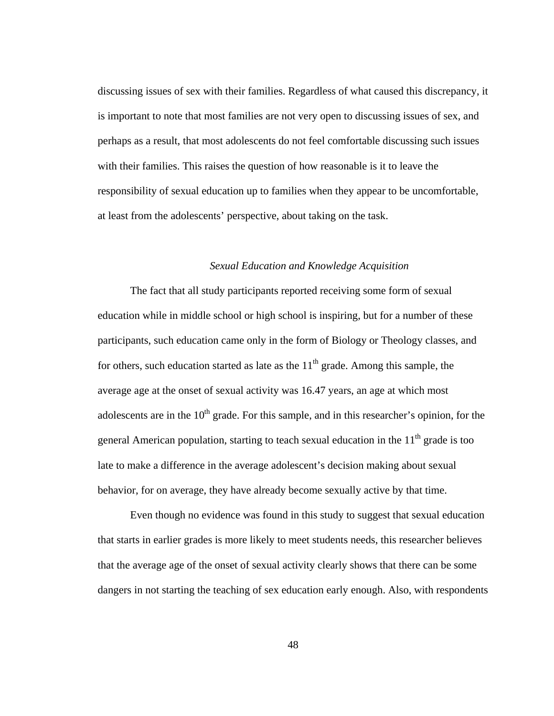discussing issues of sex with their families. Regardless of what caused this discrepancy, it is important to note that most families are not very open to discussing issues of sex, and perhaps as a result, that most adolescents do not feel comfortable discussing such issues with their families. This raises the question of how reasonable is it to leave the responsibility of sexual education up to families when they appear to be uncomfortable, at least from the adolescents' perspective, about taking on the task.

# *Sexual Education and Knowledge Acquisition*

The fact that all study participants reported receiving some form of sexual education while in middle school or high school is inspiring, but for a number of these participants, such education came only in the form of Biology or Theology classes, and for others, such education started as late as the  $11<sup>th</sup>$  grade. Among this sample, the average age at the onset of sexual activity was 16.47 years, an age at which most adolescents are in the  $10<sup>th</sup>$  grade. For this sample, and in this researcher's opinion, for the general American population, starting to teach sexual education in the  $11<sup>th</sup>$  grade is too late to make a difference in the average adolescent's decision making about sexual behavior, for on average, they have already become sexually active by that time.

Even though no evidence was found in this study to suggest that sexual education that starts in earlier grades is more likely to meet students needs, this researcher believes that the average age of the onset of sexual activity clearly shows that there can be some dangers in not starting the teaching of sex education early enough. Also, with respondents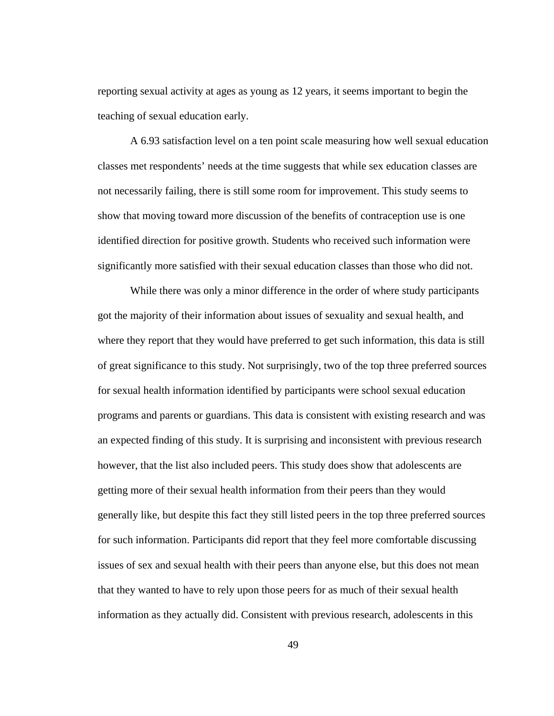reporting sexual activity at ages as young as 12 years, it seems important to begin the teaching of sexual education early.

A 6.93 satisfaction level on a ten point scale measuring how well sexual education classes met respondents' needs at the time suggests that while sex education classes are not necessarily failing, there is still some room for improvement. This study seems to show that moving toward more discussion of the benefits of contraception use is one identified direction for positive growth. Students who received such information were significantly more satisfied with their sexual education classes than those who did not.

While there was only a minor difference in the order of where study participants got the majority of their information about issues of sexuality and sexual health, and where they report that they would have preferred to get such information, this data is still of great significance to this study. Not surprisingly, two of the top three preferred sources for sexual health information identified by participants were school sexual education programs and parents or guardians. This data is consistent with existing research and was an expected finding of this study. It is surprising and inconsistent with previous research however, that the list also included peers. This study does show that adolescents are getting more of their sexual health information from their peers than they would generally like, but despite this fact they still listed peers in the top three preferred sources for such information. Participants did report that they feel more comfortable discussing issues of sex and sexual health with their peers than anyone else, but this does not mean that they wanted to have to rely upon those peers for as much of their sexual health information as they actually did. Consistent with previous research, adolescents in this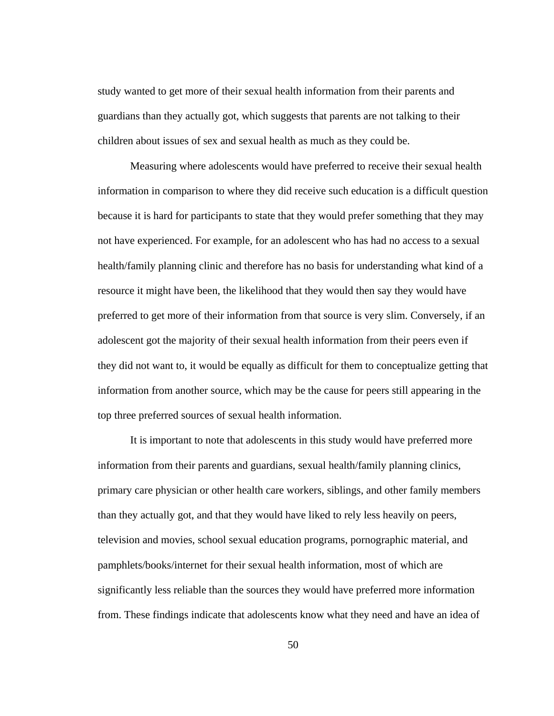study wanted to get more of their sexual health information from their parents and guardians than they actually got, which suggests that parents are not talking to their children about issues of sex and sexual health as much as they could be.

Measuring where adolescents would have preferred to receive their sexual health information in comparison to where they did receive such education is a difficult question because it is hard for participants to state that they would prefer something that they may not have experienced. For example, for an adolescent who has had no access to a sexual health/family planning clinic and therefore has no basis for understanding what kind of a resource it might have been, the likelihood that they would then say they would have preferred to get more of their information from that source is very slim. Conversely, if an adolescent got the majority of their sexual health information from their peers even if they did not want to, it would be equally as difficult for them to conceptualize getting that information from another source, which may be the cause for peers still appearing in the top three preferred sources of sexual health information.

It is important to note that adolescents in this study would have preferred more information from their parents and guardians, sexual health/family planning clinics, primary care physician or other health care workers, siblings, and other family members than they actually got, and that they would have liked to rely less heavily on peers, television and movies, school sexual education programs, pornographic material, and pamphlets/books/internet for their sexual health information, most of which are significantly less reliable than the sources they would have preferred more information from. These findings indicate that adolescents know what they need and have an idea of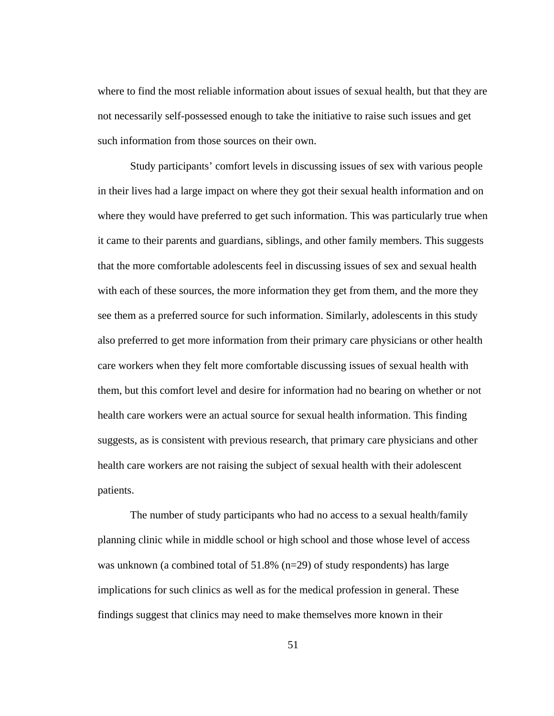where to find the most reliable information about issues of sexual health, but that they are not necessarily self-possessed enough to take the initiative to raise such issues and get such information from those sources on their own.

Study participants' comfort levels in discussing issues of sex with various people in their lives had a large impact on where they got their sexual health information and on where they would have preferred to get such information. This was particularly true when it came to their parents and guardians, siblings, and other family members. This suggests that the more comfortable adolescents feel in discussing issues of sex and sexual health with each of these sources, the more information they get from them, and the more they see them as a preferred source for such information. Similarly, adolescents in this study also preferred to get more information from their primary care physicians or other health care workers when they felt more comfortable discussing issues of sexual health with them, but this comfort level and desire for information had no bearing on whether or not health care workers were an actual source for sexual health information. This finding suggests, as is consistent with previous research, that primary care physicians and other health care workers are not raising the subject of sexual health with their adolescent patients.

The number of study participants who had no access to a sexual health/family planning clinic while in middle school or high school and those whose level of access was unknown (a combined total of  $51.8\%$  (n=29) of study respondents) has large implications for such clinics as well as for the medical profession in general. These findings suggest that clinics may need to make themselves more known in their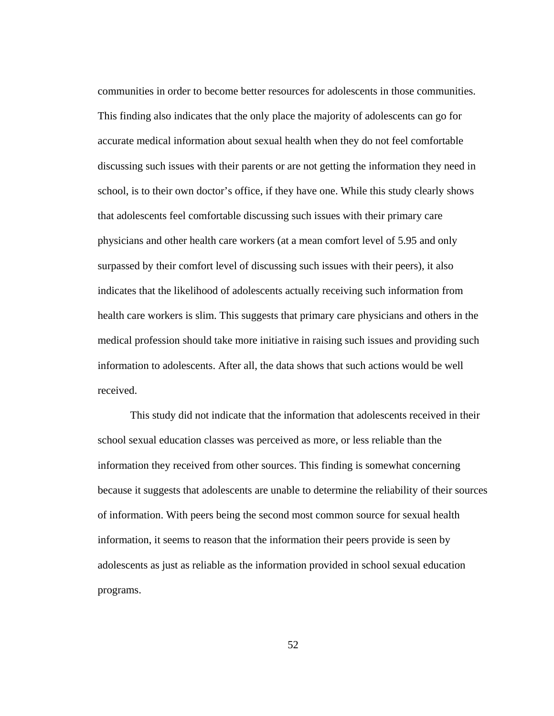communities in order to become better resources for adolescents in those communities. This finding also indicates that the only place the majority of adolescents can go for accurate medical information about sexual health when they do not feel comfortable discussing such issues with their parents or are not getting the information they need in school, is to their own doctor's office, if they have one. While this study clearly shows that adolescents feel comfortable discussing such issues with their primary care physicians and other health care workers (at a mean comfort level of 5.95 and only surpassed by their comfort level of discussing such issues with their peers), it also indicates that the likelihood of adolescents actually receiving such information from health care workers is slim. This suggests that primary care physicians and others in the medical profession should take more initiative in raising such issues and providing such information to adolescents. After all, the data shows that such actions would be well received.

This study did not indicate that the information that adolescents received in their school sexual education classes was perceived as more, or less reliable than the information they received from other sources. This finding is somewhat concerning because it suggests that adolescents are unable to determine the reliability of their sources of information. With peers being the second most common source for sexual health information, it seems to reason that the information their peers provide is seen by adolescents as just as reliable as the information provided in school sexual education programs.

52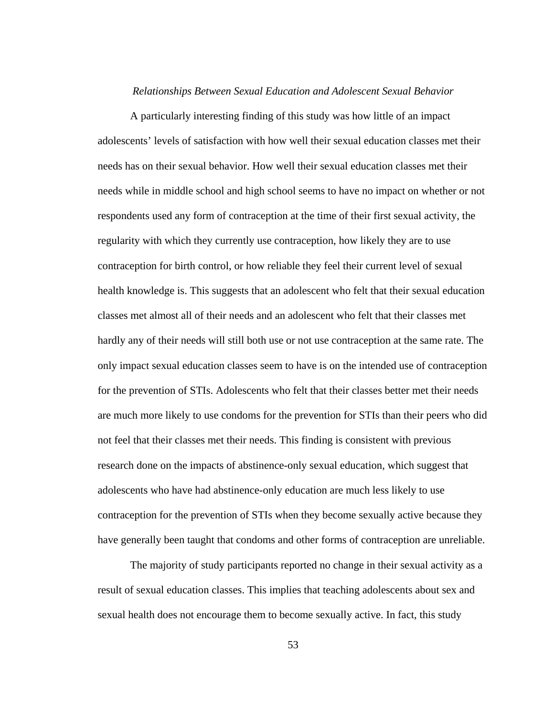### *Relationships Between Sexual Education and Adolescent Sexual Behavior*

 A particularly interesting finding of this study was how little of an impact adolescents' levels of satisfaction with how well their sexual education classes met their needs has on their sexual behavior. How well their sexual education classes met their needs while in middle school and high school seems to have no impact on whether or not respondents used any form of contraception at the time of their first sexual activity, the regularity with which they currently use contraception, how likely they are to use contraception for birth control, or how reliable they feel their current level of sexual health knowledge is. This suggests that an adolescent who felt that their sexual education classes met almost all of their needs and an adolescent who felt that their classes met hardly any of their needs will still both use or not use contraception at the same rate. The only impact sexual education classes seem to have is on the intended use of contraception for the prevention of STIs. Adolescents who felt that their classes better met their needs are much more likely to use condoms for the prevention for STIs than their peers who did not feel that their classes met their needs. This finding is consistent with previous research done on the impacts of abstinence-only sexual education, which suggest that adolescents who have had abstinence-only education are much less likely to use contraception for the prevention of STIs when they become sexually active because they have generally been taught that condoms and other forms of contraception are unreliable.

 The majority of study participants reported no change in their sexual activity as a result of sexual education classes. This implies that teaching adolescents about sex and sexual health does not encourage them to become sexually active. In fact, this study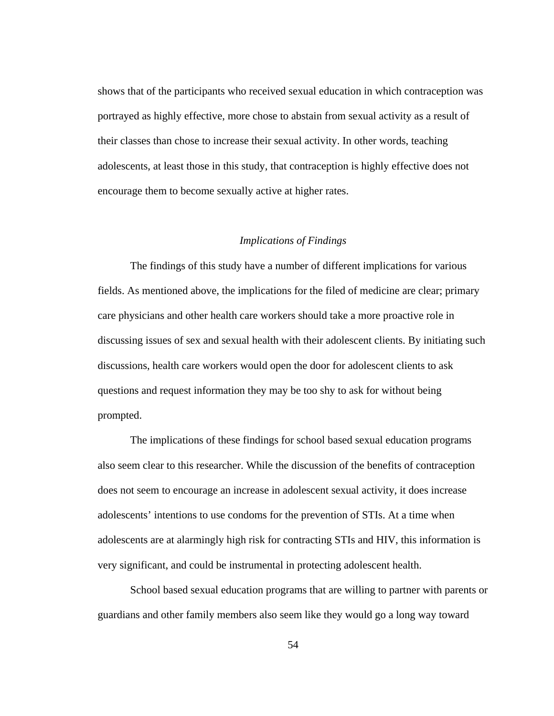shows that of the participants who received sexual education in which contraception was portrayed as highly effective, more chose to abstain from sexual activity as a result of their classes than chose to increase their sexual activity. In other words, teaching adolescents, at least those in this study, that contraception is highly effective does not encourage them to become sexually active at higher rates.

## *Implications of Findings*

 The findings of this study have a number of different implications for various fields. As mentioned above, the implications for the filed of medicine are clear; primary care physicians and other health care workers should take a more proactive role in discussing issues of sex and sexual health with their adolescent clients. By initiating such discussions, health care workers would open the door for adolescent clients to ask questions and request information they may be too shy to ask for without being prompted.

 The implications of these findings for school based sexual education programs also seem clear to this researcher. While the discussion of the benefits of contraception does not seem to encourage an increase in adolescent sexual activity, it does increase adolescents' intentions to use condoms for the prevention of STIs. At a time when adolescents are at alarmingly high risk for contracting STIs and HIV, this information is very significant, and could be instrumental in protecting adolescent health.

 School based sexual education programs that are willing to partner with parents or guardians and other family members also seem like they would go a long way toward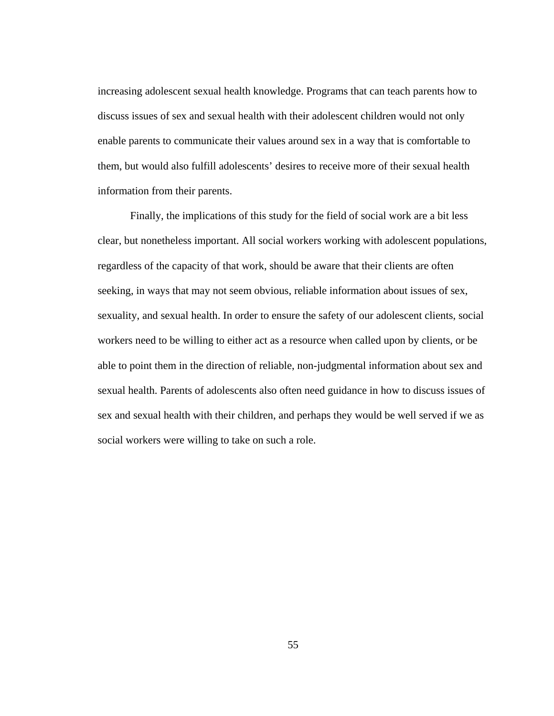increasing adolescent sexual health knowledge. Programs that can teach parents how to discuss issues of sex and sexual health with their adolescent children would not only enable parents to communicate their values around sex in a way that is comfortable to them, but would also fulfill adolescents' desires to receive more of their sexual health information from their parents.

 Finally, the implications of this study for the field of social work are a bit less clear, but nonetheless important. All social workers working with adolescent populations, regardless of the capacity of that work, should be aware that their clients are often seeking, in ways that may not seem obvious, reliable information about issues of sex, sexuality, and sexual health. In order to ensure the safety of our adolescent clients, social workers need to be willing to either act as a resource when called upon by clients, or be able to point them in the direction of reliable, non-judgmental information about sex and sexual health. Parents of adolescents also often need guidance in how to discuss issues of sex and sexual health with their children, and perhaps they would be well served if we as social workers were willing to take on such a role.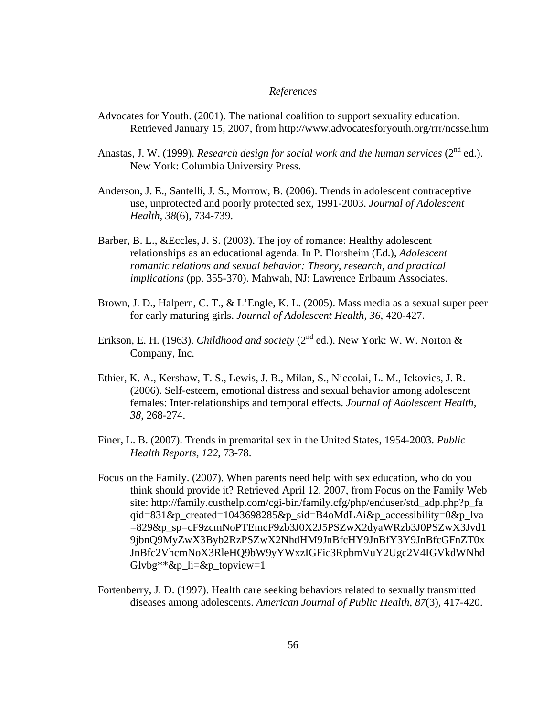# *References*

- Advocates for Youth. (2001). The national coalition to support sexuality education. Retrieved January 15, 2007, from http://www.advocatesforyouth.org/rrr/ncsse.htm
- Anastas, J. W. (1999). *Research design for social work and the human services*  $(2^{nd}$  ed.). New York: Columbia University Press.
- Anderson, J. E., Santelli, J. S., Morrow, B. (2006). Trends in adolescent contraceptive use, unprotected and poorly protected sex*,* 1991-2003. *Journal of Adolescent Health, 38*(6), 734-739.
- Barber, B. L., &Eccles, J. S. (2003). The joy of romance: Healthy adolescent relationships as an educational agenda. In P. Florsheim (Ed.), *Adolescent romantic relations and sexual behavior: Theory, research, and practical implications* (pp. 355-370). Mahwah, NJ: Lawrence Erlbaum Associates.
- Brown, J. D., Halpern, C. T., & L'Engle, K. L. (2005). Mass media as a sexual super peer for early maturing girls. *Journal of Adolescent Health, 36*, 420-427.
- Erikson, E. H. (1963). *Childhood and society* (2<sup>nd</sup> ed.). New York: W. W. Norton & Company, Inc.
- Ethier, K. A., Kershaw, T. S., Lewis, J. B., Milan, S., Niccolai, L. M., Ickovics, J. R. (2006). Self-esteem, emotional distress and sexual behavior among adolescent females: Inter-relationships and temporal effects. *Journal of Adolescent Health, 38*, 268-274.
- Finer, L. B. (2007). Trends in premarital sex in the United States, 1954-2003. *Public Health Reports, 122*, 73-78.
- Focus on the Family. (2007). When parents need help with sex education, who do you think should provide it? Retrieved April 12, 2007, from Focus on the Family Web site: http://family.custhelp.com/cgi-bin/family.cfg/php/enduser/std\_adp.php?p\_fa qid=831&p\_created=1043698285&p\_sid=B4oMdLAi&p\_accessibility=0&p\_lva =829&p\_sp=cF9zcmNoPTEmcF9zb3J0X2J5PSZwX2dyaWRzb3J0PSZwX3Jvd1 9jbnQ9MyZwX3Byb2RzPSZwX2NhdHM9JnBfcHY9JnBfY3Y9JnBfcGFnZT0x JnBfc2VhcmNoX3RleHQ9bW9yYWxzIGFic3RpbmVuY2Ugc2V4IGVkdWNhd  $Glybg**\&p_1i=\&p_2topview=1$
- Fortenberry, J. D. (1997). Health care seeking behaviors related to sexually transmitted diseases among adolescents. *American Journal of Public Health, 87*(3), 417-420.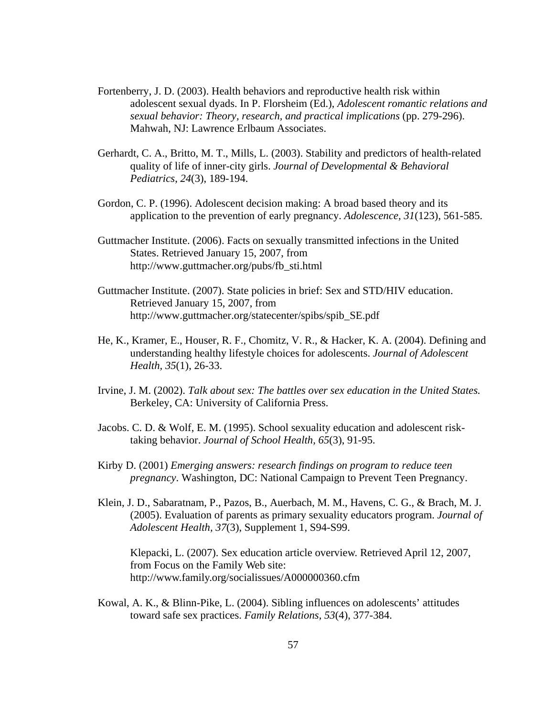- Fortenberry, J. D. (2003). Health behaviors and reproductive health risk within adolescent sexual dyads. In P. Florsheim (Ed.), *Adolescent romantic relations and sexual behavior: Theory, research, and practical implications* (pp. 279-296). Mahwah, NJ: Lawrence Erlbaum Associates.
- Gerhardt, C. A., Britto, M. T., Mills, L. (2003). Stability and predictors of health-related quality of life of inner-city girls. *Journal of Developmental & Behavioral Pediatrics*, *24*(3), 189-194.
- Gordon, C. P. (1996). Adolescent decision making: A broad based theory and its application to the prevention of early pregnancy. *Adolescence, 31*(123), 561-585.
- Guttmacher Institute. (2006). Facts on sexually transmitted infections in the United States. Retrieved January 15, 2007, from http://www.guttmacher.org/pubs/fb\_sti.html
- Guttmacher Institute. (2007). State policies in brief: Sex and STD/HIV education. Retrieved January 15, 2007, from http://www.guttmacher.org/statecenter/spibs/spib\_SE.pdf
- He, K., Kramer, E., Houser, R. F., Chomitz, V. R., & Hacker, K. A. (2004). Defining and understanding healthy lifestyle choices for adolescents. *Journal of Adolescent Health, 35*(1), 26-33.
- Irvine, J. M. (2002). *Talk about sex: The battles over sex education in the United States.* Berkeley, CA: University of California Press.
- Jacobs. C. D. & Wolf, E. M. (1995). School sexuality education and adolescent risktaking behavior. *Journal of School Health, 65*(3), 91-95.
- Kirby D. (2001) *Emerging answers: research findings on program to reduce teen pregnancy*. Washington, DC: National Campaign to Prevent Teen Pregnancy.
- Klein, J. D., Sabaratnam, P., Pazos, B., Auerbach, M. M., Havens, C. G., & Brach, M. J. (2005). Evaluation of parents as primary sexuality educators program. *Journal of Adolescent Health, 37*(3), Supplement 1, S94-S99.

Klepacki, L. (2007). Sex education article overview. Retrieved April 12, 2007, from Focus on the Family Web site: http://www.family.org/socialissues/A000000360.cfm

Kowal, A. K., & Blinn-Pike, L. (2004). Sibling influences on adolescents' attitudes toward safe sex practices. *Family Relations, 53*(4), 377-384.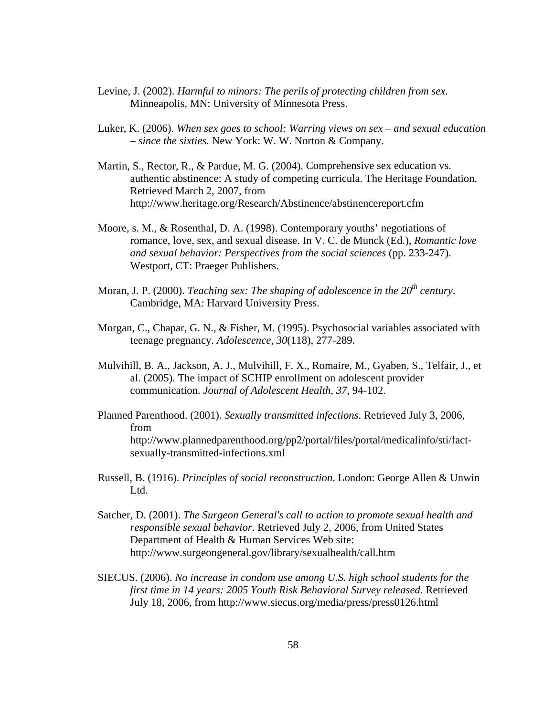- Levine, J. (2002). *Harmful to minors: The perils of protecting children from sex.* Minneapolis, MN: University of Minnesota Press.
- Luker, K. (2006). *When sex goes to school: Warring views on sex and sexual education – since the sixties.* New York: W. W. Norton & Company.
- Martin, S., Rector, R., & Pardue, M. G. (2004). Comprehensive sex education vs. authentic abstinence: A study of competing curricula. The Heritage Foundation. Retrieved March 2, 2007, from http://www.heritage.org/Research/Abstinence/abstinencereport.cfm
- Moore, s. M., & Rosenthal, D. A. (1998). Contemporary youths' negotiations of romance, love, sex, and sexual disease. In V. C. de Munck (Ed.), *Romantic love and sexual behavior: Perspectives from the social sciences* (pp. 233-247). Westport, CT: Praeger Publishers.
- Moran, J. P. (2000). *Teaching sex: The shaping of adolescence in the*  $20<sup>th</sup>$  *century*. Cambridge, MA: Harvard University Press.
- Morgan, C., Chapar, G. N., & Fisher, M. (1995). Psychosocial variables associated with teenage pregnancy. *Adolescence, 30*(118), 277-289.
- Mulvihill, B. A., Jackson, A. J., Mulvihill, F. X., Romaire, M., Gyaben, S., Telfair, J., et al. (2005). The impact of SCHIP enrollment on adolescent provider communication. *Journal of Adolescent Health, 37*, 94-102.
- Planned Parenthood. (2001). *Sexually transmitted infections*. Retrieved July 3, 2006, from http://www.plannedparenthood.org/pp2/portal/files/portal/medicalinfo/sti/factsexually-transmitted-infections.xml
- Russell, B. (1916). *Principles of social reconstruction*. London: George Allen & Unwin Ltd.
- Satcher, D. (2001). *The Surgeon General's call to action to promote sexual health and responsible sexual behavior*. Retrieved July 2, 2006, from United States Department of Health & Human Services Web site: http://www.surgeongeneral.gov/library/sexualhealth/call.htm
- SIECUS. (2006). *No increase in condom use among U.S. high school students for the first time in 14 years: 2005 Youth Risk Behavioral Survey released.* Retrieved July 18, 2006, from http://www.siecus.org/media/press/press0126.html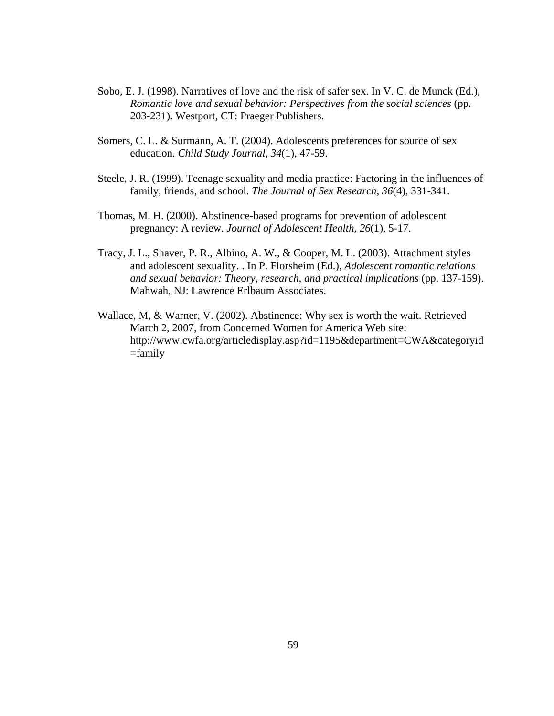- Sobo, E. J. (1998). Narratives of love and the risk of safer sex. In V. C. de Munck (Ed.), *Romantic love and sexual behavior: Perspectives from the social sciences* (pp. 203-231). Westport, CT: Praeger Publishers.
- Somers, C. L. & Surmann, A. T. (2004). Adolescents preferences for source of sex education. *Child Study Journal, 34*(1), 47-59.
- Steele, J. R. (1999). Teenage sexuality and media practice: Factoring in the influences of family, friends, and school. *The Journal of Sex Research, 36*(4), 331-341.
- Thomas, M. H. (2000). Abstinence-based programs for prevention of adolescent pregnancy: A review. *Journal of Adolescent Health, 26*(1), 5-17.
- Tracy, J. L., Shaver, P. R., Albino, A. W., & Cooper, M. L. (2003). Attachment styles and adolescent sexuality. . In P. Florsheim (Ed.), *Adolescent romantic relations and sexual behavior: Theory, research, and practical implications* (pp. 137-159). Mahwah, NJ: Lawrence Erlbaum Associates.
- Wallace, M, & Warner, V. (2002). Abstinence: Why sex is worth the wait. Retrieved March 2, 2007, from Concerned Women for America Web site: [http://www.cwfa.org/articledisplay.asp?id=1195&department=CWA&categoryid](http://www.cwfa.org/articledisplay.asp?id=1195&department=CWA&categoryid=family)  $=$ family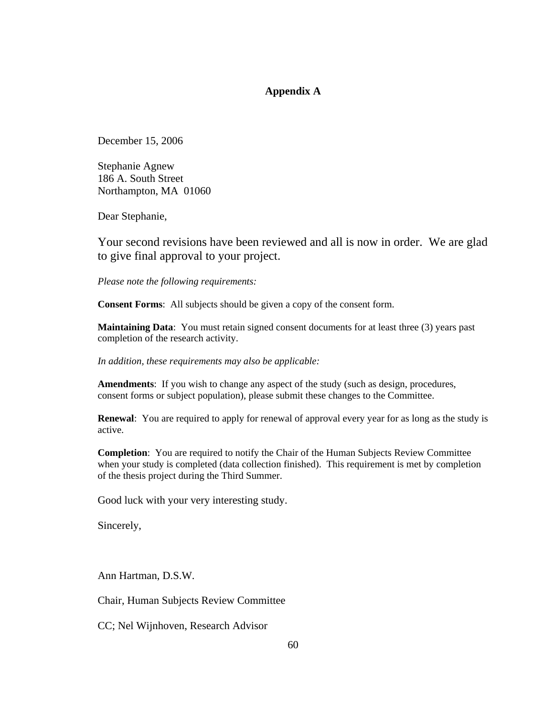# **Appendix A**

December 15, 2006

Stephanie Agnew 186 A. South Street Northampton, MA 01060

Dear Stephanie,

Your second revisions have been reviewed and all is now in order. We are glad to give final approval to your project.

*Please note the following requirements:* 

**Consent Forms**: All subjects should be given a copy of the consent form.

**Maintaining Data**: You must retain signed consent documents for at least three (3) years past completion of the research activity.

*In addition, these requirements may also be applicable:* 

**Amendments**: If you wish to change any aspect of the study (such as design, procedures, consent forms or subject population), please submit these changes to the Committee.

**Renewal**: You are required to apply for renewal of approval every year for as long as the study is active.

**Completion**: You are required to notify the Chair of the Human Subjects Review Committee when your study is completed (data collection finished). This requirement is met by completion of the thesis project during the Third Summer.

Good luck with your very interesting study.

Sincerely,

Ann Hartman, D.S.W.

Chair, Human Subjects Review Committee

CC; Nel Wijnhoven, Research Advisor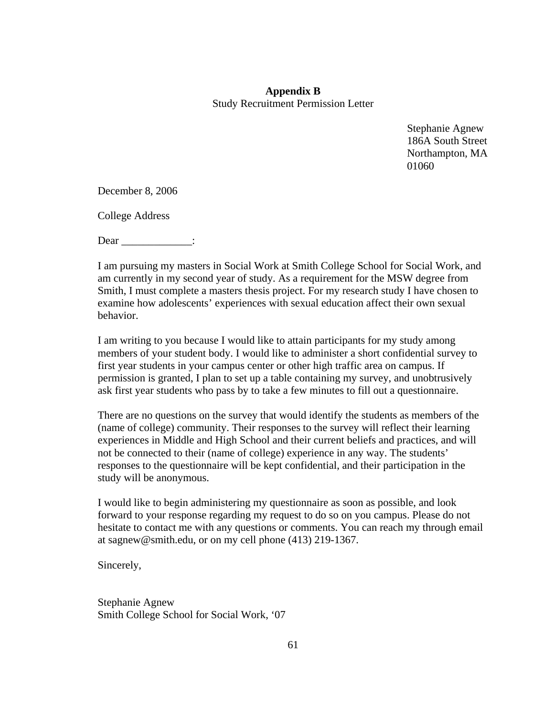# **Appendix B**  Study Recruitment Permission Letter

Stephanie Agnew 186A South Street Northampton, MA 01060

December 8, 2006

College Address

Dear :

I am pursuing my masters in Social Work at Smith College School for Social Work, and am currently in my second year of study. As a requirement for the MSW degree from Smith, I must complete a masters thesis project. For my research study I have chosen to examine how adolescents' experiences with sexual education affect their own sexual behavior.

I am writing to you because I would like to attain participants for my study among members of your student body. I would like to administer a short confidential survey to first year students in your campus center or other high traffic area on campus. If permission is granted, I plan to set up a table containing my survey, and unobtrusively ask first year students who pass by to take a few minutes to fill out a questionnaire.

There are no questions on the survey that would identify the students as members of the (name of college) community. Their responses to the survey will reflect their learning experiences in Middle and High School and their current beliefs and practices, and will not be connected to their (name of college) experience in any way. The students' responses to the questionnaire will be kept confidential, and their participation in the study will be anonymous.

I would like to begin administering my questionnaire as soon as possible, and look forward to your response regarding my request to do so on you campus. Please do not hesitate to contact me with any questions or comments. You can reach my through email at [sagnew@smith.edu,](mailto:sagnew@smith.edu) or on my cell phone (413) 219-1367.

Sincerely,

Stephanie Agnew Smith College School for Social Work, '07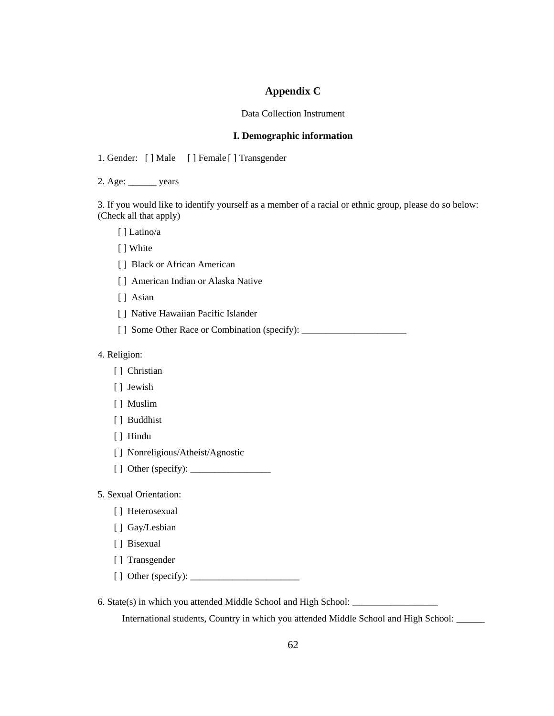# **Appendix C**

### Data Collection Instrument

### **I. Demographic information**

1. Gender: [ ] Male [ ] Female [ ] Transgender

2. Age: \_\_\_\_\_\_ years

3. If you would like to identify yourself as a member of a racial or ethnic group, please do so below: (Check all that apply)

[ ] Latino/a

[ ] White

[ ] Black or African American

[ ] American Indian or Alaska Native

[ ] Asian

[ ] Native Hawaiian Pacific Islander

[] Some Other Race or Combination (specify): \_\_\_\_\_\_\_\_\_\_\_\_\_\_\_\_\_\_\_\_\_\_\_\_\_\_\_\_\_\_\_\_\_\_\_

4. Religion:

[ ] Christian

[ ] Jewish

[ ] Muslim

[ ] Buddhist

[ ] Hindu

[ ] Nonreligious/Atheist/Agnostic

[ ] Other (specify): \_\_\_\_\_\_\_\_\_\_\_\_\_\_\_\_\_

5. Sexual Orientation:

[ ] Heterosexual

[ ] Gay/Lesbian

[ ] Bisexual

[ ] Transgender

[ ] Other (specify): \_\_\_\_\_\_\_\_\_\_\_\_\_\_\_\_\_\_\_\_\_\_\_

6. State(s) in which you attended Middle School and High School: \_\_\_\_\_\_\_\_\_\_\_\_\_\_\_\_\_\_

International students, Country in which you attended Middle School and High School: \_\_\_\_\_\_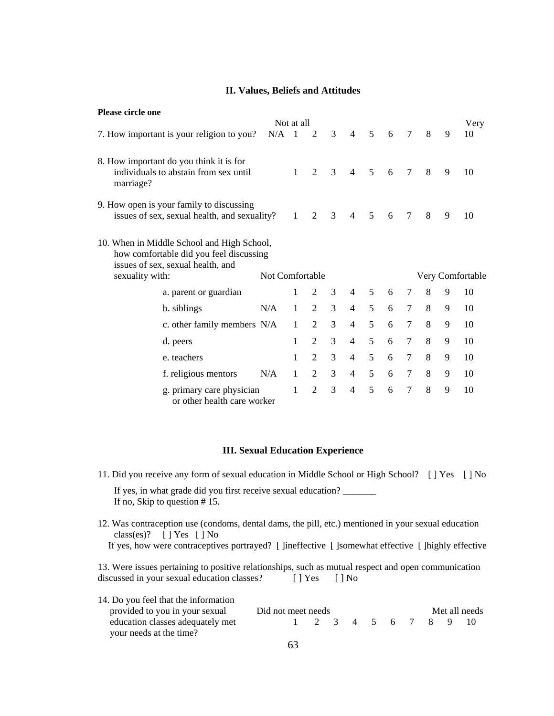## **II. Values, Beliefs and Attitudes**

| <b>Please circle one</b>                                                                                                                                                                |                                                                                  |     |                |                |                |                |   |    |        |   |   |      |
|-----------------------------------------------------------------------------------------------------------------------------------------------------------------------------------------|----------------------------------------------------------------------------------|-----|----------------|----------------|----------------|----------------|---|----|--------|---|---|------|
|                                                                                                                                                                                         |                                                                                  |     | Not at all     |                |                |                |   |    |        |   |   | Very |
|                                                                                                                                                                                         | 7. How important is your religion to you?                                        | N/A | $\overline{1}$ | 2              | 3              | $\overline{4}$ | 5 | 6  | 7      | 8 | 9 | 10   |
| marriage?                                                                                                                                                                               | 8. How important do you think it is for<br>individuals to abstain from sex until |     | $\mathbf{1}$   | $\overline{2}$ | 3              | $\overline{4}$ | 5 | 6  | $\tau$ | 8 | 9 | 10   |
| 9. How open is your family to discussing<br>3<br>5<br>8<br>issues of sex, sexual health, and sexuality?<br>$\mathcal{D}_{\mathcal{L}}$<br>$\overline{4}$<br>7<br>$\mathbf{1}$<br>6<br>9 |                                                                                  |     |                |                |                |                |   | 10 |        |   |   |      |
| 10. When in Middle School and High School,<br>how comfortable did you feel discussing<br>issues of sex, sexual health, and<br>sexuality with:<br>Not Comfortable<br>Very Comfortable    |                                                                                  |     |                |                |                |                |   |    |        |   |   |      |
|                                                                                                                                                                                         | a. parent or guardian                                                            |     | 1              | 2              | 3              | $\overline{4}$ | 5 | 6  | 7      | 8 | 9 | 10   |
|                                                                                                                                                                                         | b. siblings                                                                      | N/A | $\mathbf{1}$   | 2              | $\overline{3}$ | $\overline{4}$ | 5 | 6  | 7      | 8 | 9 | 10   |
|                                                                                                                                                                                         | c. other family members N/A                                                      |     | $\mathbf{1}$   | 2              | 3              | $\overline{4}$ | 5 | 6  | 7      | 8 | 9 | 10   |
|                                                                                                                                                                                         | d. peers                                                                         |     | 1              | 2              | 3              | 4              | 5 | 6  | 7      | 8 | 9 | 10   |
|                                                                                                                                                                                         | e. teachers                                                                      |     | 1              | 2              | $\overline{3}$ | 4              | 5 | 6  | $\tau$ | 8 | 9 | 10   |
|                                                                                                                                                                                         | f. religious mentors                                                             | N/A | $\mathbf{1}$   | 2              | 3              | $\overline{4}$ | 5 | 6  | 7      | 8 | 9 | 10   |
|                                                                                                                                                                                         | g. primary care physician<br>or other health care worker                         |     | 1              | $\overline{2}$ | 3              | $\overline{4}$ | 5 | 6  | 7      | 8 | 9 | 10   |

### **III. Sexual Education Experience**

- 11. Did you receive any form of sexual education in Middle School or High School? [ ] Yes [ ] No If yes, in what grade did you first receive sexual education? If no, Skip to question # 15.
- 12. Was contraception use (condoms, dental dams, the pill, etc.) mentioned in your sexual education class(es)? [ ] Yes [ ] No If yes, how were contraceptives portrayed? [ ]ineffective [ ]somewhat effective [ ]highly effective

13. Were issues pertaining to positive relationships, such as mutual respect and open communication discussed in your sexual education classes? [ ] Yes [ ] No

| 14. Do you feel that the information                        |                    |  |  |  |  |               |                   |  |
|-------------------------------------------------------------|--------------------|--|--|--|--|---------------|-------------------|--|
| provided to you in your sexual                              | Did not meet needs |  |  |  |  | Met all needs |                   |  |
| education classes adequately met<br>your needs at the time? |                    |  |  |  |  |               | 1 2 3 4 5 6 7 8 9 |  |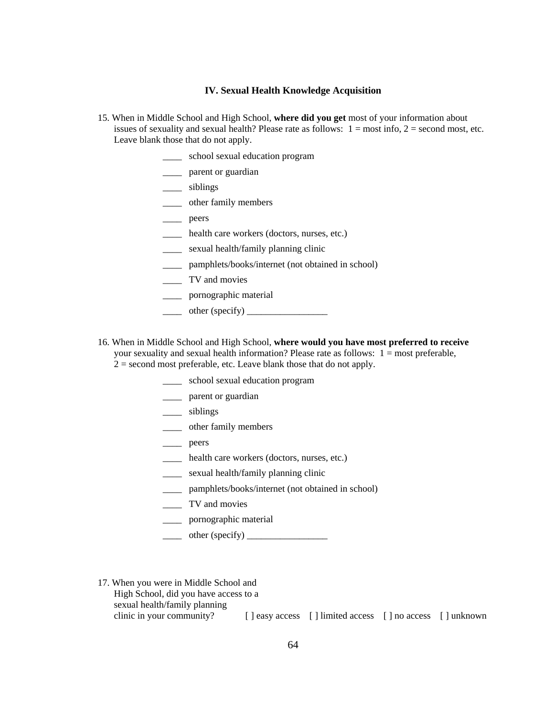### **IV. Sexual Health Knowledge Acquisition**

- 15. When in Middle School and High School, **where did you get** most of your information about issues of sexuality and sexual health? Please rate as follows:  $1 = \text{most info}$ ,  $2 = \text{second most}$ , etc. Leave blank those that do not apply.
	- \_\_\_\_ school sexual education program
	- \_\_\_\_ parent or guardian
	- \_\_\_\_ siblings
	- \_\_\_\_ other family members
	- \_\_\_\_ peers
	- \_\_\_\_ health care workers (doctors, nurses, etc.)
	- \_\_\_\_ sexual health/family planning clinic
	- \_\_\_\_ pamphlets/books/internet (not obtained in school)
	- \_\_\_\_ TV and movies
	- \_\_\_\_ pornographic material
	- $\frac{\text{other (specificity)}}{\text{other (specificity)}}$
- 16. When in Middle School and High School, **where would you have most preferred to receive** your sexuality and sexual health information? Please rate as follows: 1 = most preferable,
	- $2 =$  second most preferable, etc. Leave blank those that do not apply.
		- \_\_\_\_ school sexual education program
		- \_\_\_\_ parent or guardian
		- \_\_\_\_ siblings
		- \_\_\_\_ other family members
		- \_\_\_\_ peers
		- \_\_\_\_ health care workers (doctors, nurses, etc.)
		- \_\_\_\_ sexual health/family planning clinic
		- pamphlets/books/internet (not obtained in school)
		- \_\_\_\_ TV and movies
		- \_\_\_\_ pornographic material
		- $\frac{\text{other (specificity)}}{\text{other (specificity)}}$
- 17. When you were in Middle School and High School, did you have access to a sexual health/family planning clinic in your community? [ ] easy access [ ] limited access [ ] no access [ ] unknown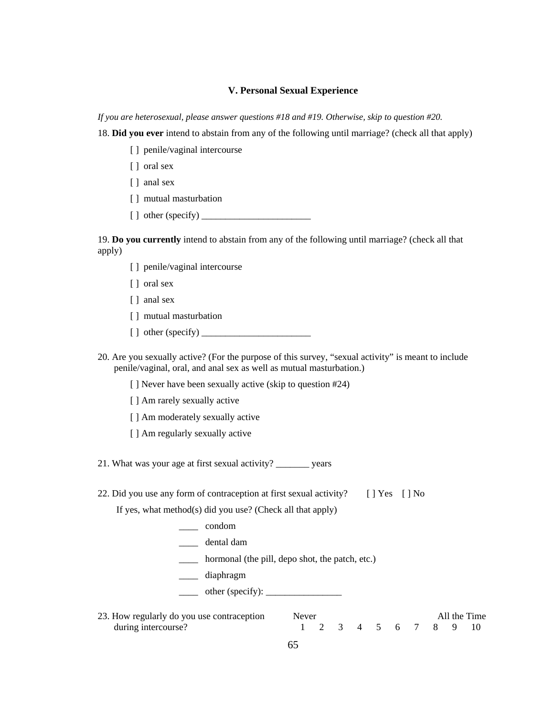### **V. Personal Sexual Experience**

*If you are heterosexual, please answer questions #18 and #19. Otherwise, skip to question #20.* 

18. **Did you ever** intend to abstain from any of the following until marriage? (check all that apply)

- [] penile/vaginal intercourse
- [ ] oral sex
- [ ] anal sex
- [ ] mutual masturbation
- [ ] other (specify) \_\_\_\_\_\_\_\_\_\_\_\_\_\_\_\_\_\_\_\_\_\_\_

19. **Do you currently** intend to abstain from any of the following until marriage? (check all that apply)

- [] penile/vaginal intercourse
- [ ] oral sex
- [ ] anal sex
- [ ] mutual masturbation
- [ ] other (specify) \_\_\_\_\_\_\_\_\_\_\_\_\_\_\_\_\_\_\_\_\_\_\_
- 20. Are you sexually active? (For the purpose of this survey, "sexual activity" is meant to include penile/vaginal, oral, and anal sex as well as mutual masturbation.)
	- [ ] Never have been sexually active (skip to question #24)
	- [ ] Am rarely sexually active
	- [ ] Am moderately sexually active
	- [ ] Am regularly sexually active

21. What was your age at first sexual activity? vears

22. Did you use any form of contraception at first sexual activity?  $[ ]$  Yes  $[ ]$  No

If yes, what method(s) did you use? (Check all that apply)

- \_\_\_\_ condom
- \_\_\_\_ dental dam
- \_\_\_\_ hormonal (the pill, depo shot, the patch, etc.)
- \_\_\_\_ diaphragm
- \_\_\_\_ other (specify): \_\_\_\_\_\_\_\_\_\_\_\_\_\_\_\_
- 23. How regularly do you use contraception Never Never All the Time during intercourse?<br>
during intercourse?<br>
1 2 3 4 5 6 7 8 9 10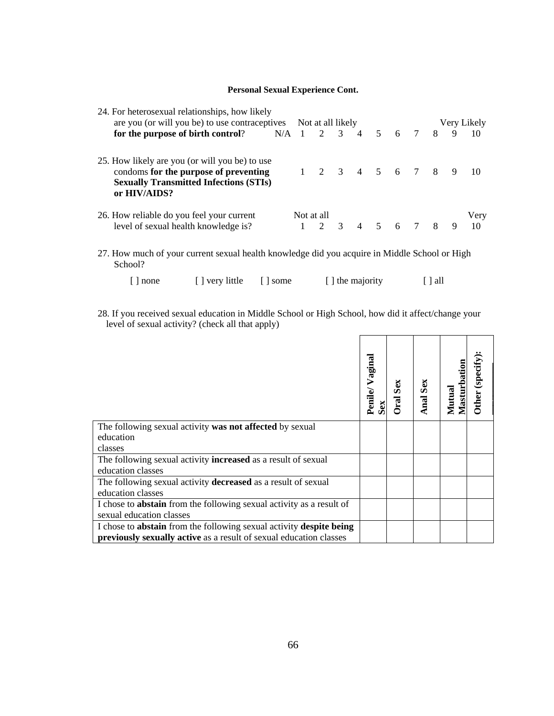## **Personal Sexual Experience Cont.**

| 24. For heterosexual relationships, how likely<br>are you (or will you be) to use contraceptives Not at all likely |                                                               |  | Very Likely |  |  |  |  |  |                                 |  |                |      |
|--------------------------------------------------------------------------------------------------------------------|---------------------------------------------------------------|--|-------------|--|--|--|--|--|---------------------------------|--|----------------|------|
|                                                                                                                    |                                                               |  |             |  |  |  |  |  |                                 |  |                |      |
|                                                                                                                    | for the purpose of birth control? $N/A$ 1 2 3 4 5 6 7 8       |  |             |  |  |  |  |  |                                 |  | 9              | 10   |
|                                                                                                                    | 25. How likely are you (or will you be) to use                |  |             |  |  |  |  |  |                                 |  |                |      |
|                                                                                                                    | condoms for the purpose of preventing                         |  |             |  |  |  |  |  | $1 \t2 \t3 \t4 \t5 \t6 \t7 \t8$ |  | $\overline{9}$ |      |
|                                                                                                                    | <b>Sexually Transmitted Infections (STIs)</b><br>or HIV/AIDS? |  |             |  |  |  |  |  |                                 |  |                |      |
|                                                                                                                    | 26. How reliable do you feel your current                     |  | Not at all  |  |  |  |  |  |                                 |  |                | Very |
|                                                                                                                    | level of sexual health knowledge is?                          |  |             |  |  |  |  |  | $1 \t2 \t3 \t4 \t5 \t6 \t7 \t8$ |  | 9              | 10   |
|                                                                                                                    |                                                               |  |             |  |  |  |  |  |                                 |  |                |      |

27. How much of your current sexual health knowledge did you acquire in Middle School or High School?

| $[ ]$ none | [ ] very little | some | [ ] the majority | $\left[\right]$ all |
|------------|-----------------|------|------------------|---------------------|
|            |                 |      |                  |                     |

28. If you received sexual education in Middle School or High School, how did it affect/change your level of sexual activity? (check all that apply)

|                                                                      | aginal<br>Penile | Sex<br>ral | Sex<br>Anal | Masturbation<br>Mutual | (specify)<br>Other |
|----------------------------------------------------------------------|------------------|------------|-------------|------------------------|--------------------|
| The following sexual activity was not affected by sexual             |                  |            |             |                        |                    |
| education                                                            |                  |            |             |                        |                    |
| classes                                                              |                  |            |             |                        |                    |
| The following sexual activity <b>increased</b> as a result of sexual |                  |            |             |                        |                    |
| education classes                                                    |                  |            |             |                        |                    |
| The following sexual activity decreased as a result of sexual        |                  |            |             |                        |                    |
| education classes                                                    |                  |            |             |                        |                    |
| I chose to abstain from the following sexual activity as a result of |                  |            |             |                        |                    |
| sexual education classes                                             |                  |            |             |                        |                    |
| I chose to abstain from the following sexual activity despite being  |                  |            |             |                        |                    |
| previously sexually active as a result of sexual education classes   |                  |            |             |                        |                    |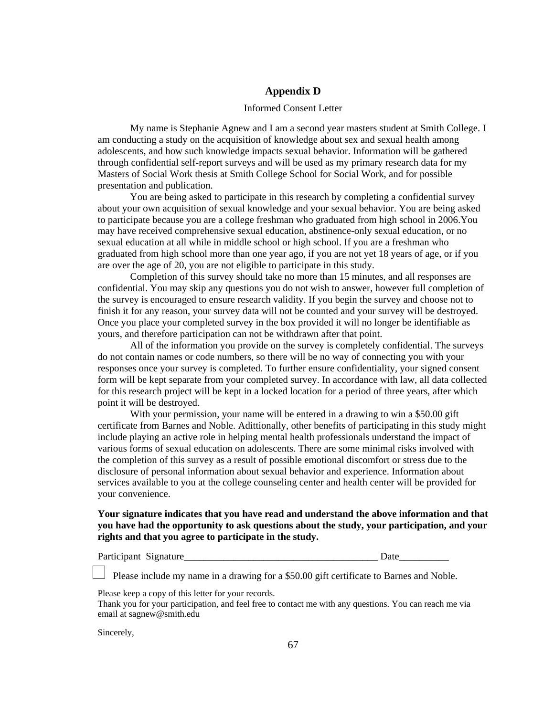# **Appendix D**

#### Informed Consent Letter

My name is Stephanie Agnew and I am a second year masters student at Smith College. I am conducting a study on the acquisition of knowledge about sex and sexual health among adolescents, and how such knowledge impacts sexual behavior. Information will be gathered through confidential self-report surveys and will be used as my primary research data for my Masters of Social Work thesis at Smith College School for Social Work, and for possible presentation and publication.

You are being asked to participate in this research by completing a confidential survey about your own acquisition of sexual knowledge and your sexual behavior. You are being asked to participate because you are a college freshman who graduated from high school in 2006.You may have received comprehensive sexual education, abstinence-only sexual education, or no sexual education at all while in middle school or high school. If you are a freshman who graduated from high school more than one year ago, if you are not yet 18 years of age, or if you are over the age of 20, you are not eligible to participate in this study.

Completion of this survey should take no more than 15 minutes, and all responses are confidential. You may skip any questions you do not wish to answer, however full completion of the survey is encouraged to ensure research validity. If you begin the survey and choose not to finish it for any reason, your survey data will not be counted and your survey will be destroyed. Once you place your completed survey in the box provided it will no longer be identifiable as yours, and therefore participation can not be withdrawn after that point.

All of the information you provide on the survey is completely confidential. The surveys do not contain names or code numbers, so there will be no way of connecting you with your responses once your survey is completed. To further ensure confidentiality, your signed consent form will be kept separate from your completed survey. In accordance with law, all data collected for this research project will be kept in a locked location for a period of three years, after which point it will be destroyed.

With your permission, your name will be entered in a drawing to win a \$50.00 gift certificate from Barnes and Noble. Adittionally, other benefits of participating in this study might include playing an active role in helping mental health professionals understand the impact of various forms of sexual education on adolescents. There are some minimal risks involved with the completion of this survey as a result of possible emotional discomfort or stress due to the disclosure of personal information about sexual behavior and experience. Information about services available to you at the college counseling center and health center will be provided for your convenience.

## **Your signature indicates that you have read and understand the above information and that you have had the opportunity to ask questions about the study, your participation, and your rights and that you agree to participate in the study.**

Participant Signature\_\_\_\_\_\_\_\_\_\_\_\_\_\_\_\_\_\_\_\_\_\_\_\_\_\_\_\_\_\_\_\_\_\_\_\_\_\_\_ Date\_\_\_\_\_\_\_\_\_\_

Please include my name in a drawing for a \$50.00 gift certificate to Barnes and Noble.

Please keep a copy of this letter for your records.

Thank you for your participation, and feel free to contact me with any questions. You can reach me via email at sagnew@smith.edu

Sincerely,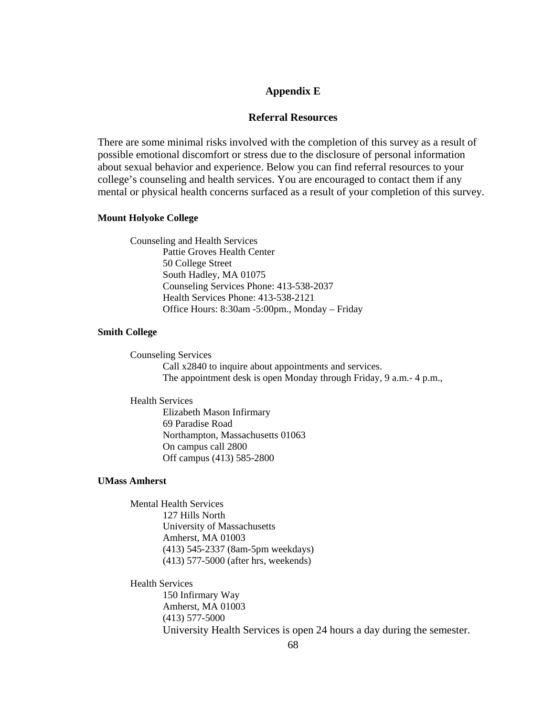### **Appendix E**

### **Referral Resources**

There are some minimal risks involved with the completion of this survey as a result of possible emotional discomfort or stress due to the disclosure of personal information about sexual behavior and experience. Below you can find referral resources to your college's counseling and health services. You are encouraged to contact them if any mental or physical health concerns surfaced as a result of your completion of this survey.

#### **Mount Holyoke College**

Counseling and Health Services Pattie Groves Health Center 50 College Street South Hadley, MA 01075 Counseling Services Phone: 413-538-2037 Health Services Phone: 413-538-2121 Office Hours: 8:30am -5:00pm., Monday – Friday

### **Smith College**

Counseling Services Call x2840 to inquire about appointments and services. The appointment desk is open Monday through Friday, 9 a.m.- 4 p.m.,

Health Services Elizabeth Mason Infirmary

69 Paradise Road Northampton, Massachusetts 01063 On campus call 2800 Off campus (413) 585-2800

### **UMass Amherst**

Mental Health Services 127 Hills North University of Massachusetts Amherst, MA 01003 (413) 545-2337 (8am-5pm weekdays) (413) 577-5000 (after hrs, weekends)

Health Services 150 Infirmary Way Amherst, MA 01003 (413) 577-5000 University Health Services is open 24 hours a day during the semester.